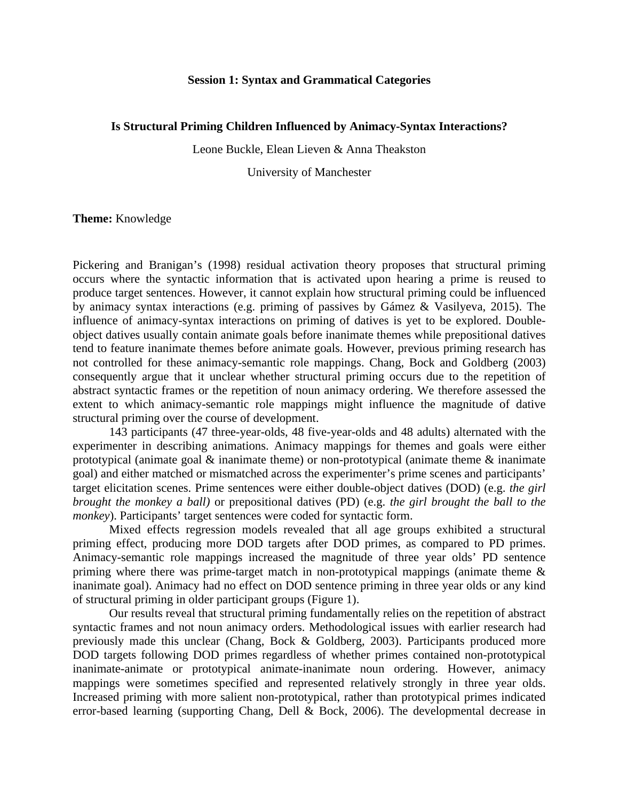#### **Session 1: Syntax and Grammatical Categories**

#### **Is Structural Priming Children Influenced by Animacy-Syntax Interactions?**

Leone Buckle, Elean Lieven & Anna Theakston

University of Manchester

#### **Theme:** Knowledge

<span id="page-0-0"></span>Pickering and Branigan's (1998) residual activation theory proposes that structural priming occurs where the syntactic information that is activated upon hearing a prime is reused to produce target sentences. However, it cannot explain how structural priming could be influenced by animacy syntax interactions (e.g. priming of passives by Gámez & Vasilyeva, 2015). The influence of animacy-syntax interactions on priming of datives is yet to be explored. Doubleobject datives usually contain animate goals before inanimate themes while prepositional datives tend to feature inanimate themes before animate goals. However, previous priming research has not controlled for these animacy-semantic role mappings. Chang, Bock and Goldberg (2003) consequently argue that it unclear whether structural priming occurs due to the repetition of abstract syntactic frames or the repetition of noun animacy ordering. We therefore assessed the extent to which animacy-semantic role mappings might influence the magnitude of dative structural priming over the course of development.

143 participants (47 three-year-olds, 48 five-year-olds and 48 adults) alternated with the experimenter in describing animations. Animacy mappings for themes and goals were either prototypical (animate goal  $\&$  inanimate theme) or non-prototypical (animate theme  $\&$  inanimate goal) and either matched or mismatched across the experimenter's prime scenes and participants' target elicitation scenes. Prime sentences were either double-object datives (DOD) (e.g. *the girl brought the monkey a ball)* or prepositional datives (PD) (e.g. *the girl brought the ball to the monkey*). Participants' target sentences were coded for syntactic form.

<span id="page-0-1"></span>Mixed effects regression models revealed that all age groups exhibited a structural priming effect, producing more DOD targets after DOD primes, as compared to PD primes. Animacy-semantic role mappings increased the magnitude of three year olds' PD sentence priming where there was prime-target match in non-prototypical mappings (animate theme & inanimate goal). Animacy had no effect on DOD sentence priming in three year olds or any kind of structural priming in older participant groups (Figure 1).

Our results reveal that structural priming fundamentally relies on the repetition of abstract syntactic frames and not noun animacy orders. Methodological issues with earlier research had previously made this unclear (Chang, Bock & Goldberg, 2003). Participants produced more DOD targets following DOD primes regardless of whether primes contained non-prototypical inanimate-animate or prototypical animate-inanimate noun ordering. However, animacy mappings were sometimes specified and represented relatively strongly in three year olds. Increased priming with more salient non-prototypical, rather than prototypical primes indicated error-based learning (supporting Chang, Dell & Bock, 2006). The developmental decrease in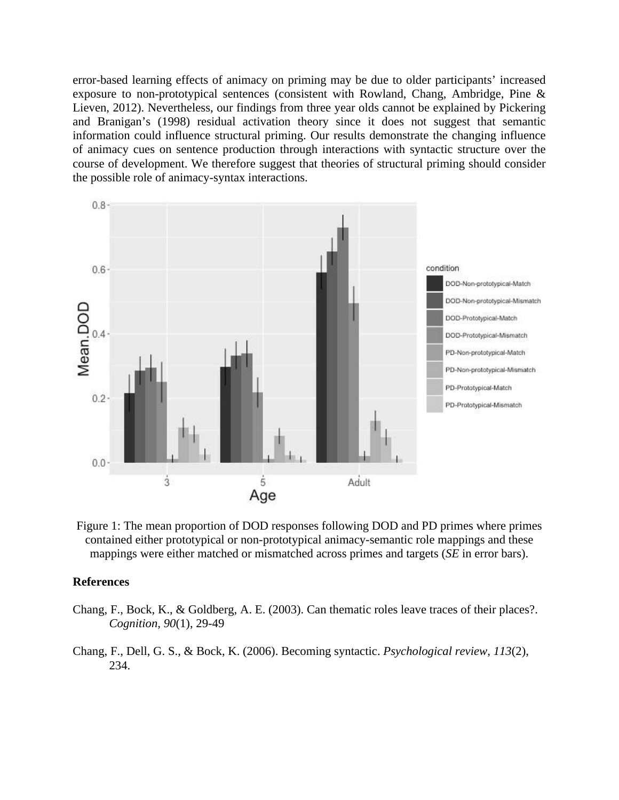error-based learning effects of animacy on priming may be due to older participants' increased exposure to non-prototypical sentences (consistent with Rowland, Chang, Ambridge, Pine & Lieven, 2012). Nevertheless, our findings from three year olds cannot be explained by Pickering and Branigan's (1998) residual activation theory since it does not suggest that semantic information could influence structural priming. Our results demonstrate the changing influence of animacy cues on sentence production through interactions with syntactic structure over the course of development. We therefore suggest that theories of structural priming should consider the possible role of animacy-syntax interactions.



Figure 1: The mean proportion of DOD responses following DOD and PD primes where primes contained either prototypical or non-prototypical animacy-semantic role mappings and these mappings were either matched or mismatched across primes and targets (*SE* in error bars).

#### **References**

- Chang, F., Bock, K., & Goldberg, A. E. (2003). Can thematic roles leave traces of their places?. *Cognition, 90*(1), 29-49
- Chang, F., Dell, G. S., & Bock, K. (2006). Becoming syntactic. *Psychological review*, *113*(2), 234.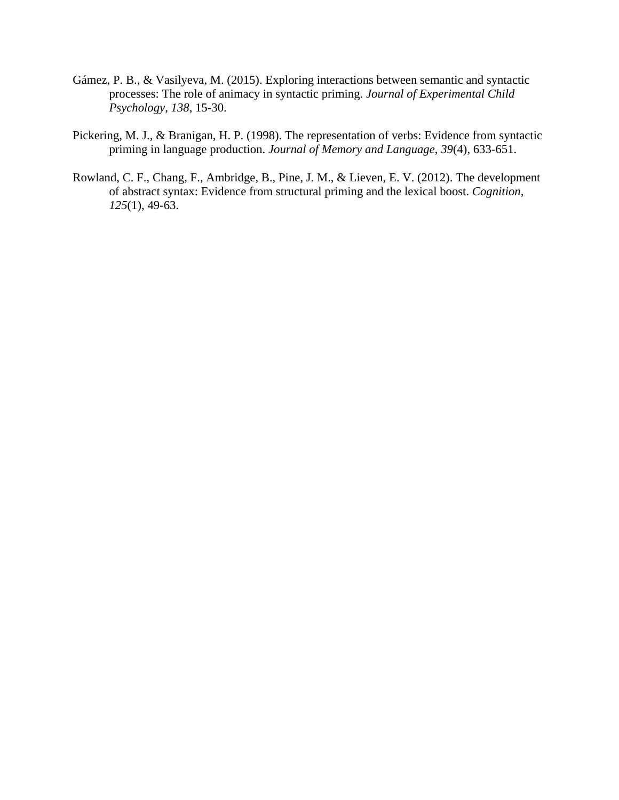- Gámez, P. B., & Vasilyeva, M. (2015). Exploring interactions between semantic and syntactic processes: The role of animacy in syntactic priming. *Journal of Experimental Child Psychology*, *138*, 15-30.
- Pickering, M. J., & Branigan, H. P. (1998). The representation of verbs: Evidence from syntactic priming in language production. *Journal of Memory and Language*, *39*(4), 633-651.
- Rowland, C. F., Chang, F., Ambridge, B., Pine, J. M., & Lieven, E. V. (2012). The development of abstract syntax: Evidence from structural priming and the lexical boost. *Cognition*, *125*(1), 49-63.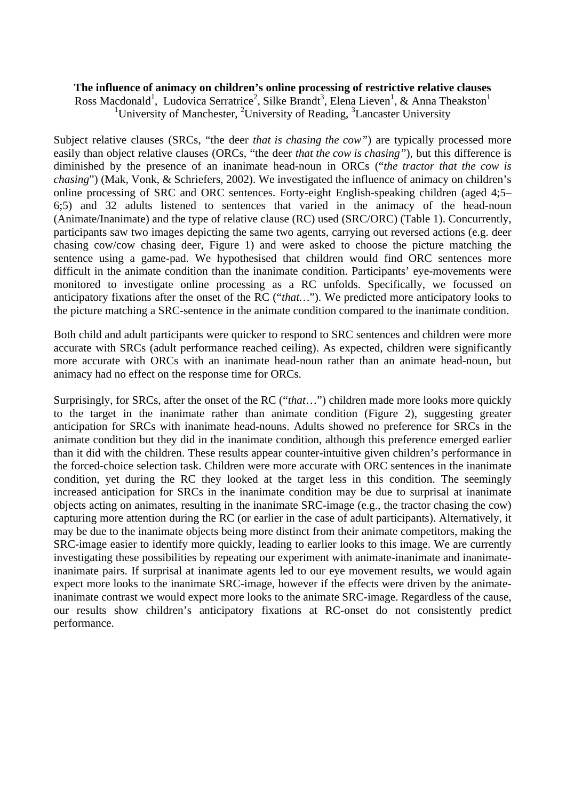## **The influence of animacy on children's online processing of restrictive relative clauses**

Ross Macdonald<sup>1</sup>, Ludovica Serratrice<sup>2</sup>, Silke Brandt<sup>3</sup>, Elena Lieven<sup>1</sup>, & Anna Theakston<sup>1</sup> <sup>1</sup>University of Manchester, <sup>2</sup>University of Reading, <sup>3</sup>Lancaster University

Subject relative clauses (SRCs, "the deer *that is chasing the cow"*) are typically processed more easily than object relative clauses (ORCs, "the deer *that the cow is chasing"*), but this difference is diminished by the presence of an inanimate head-noun in ORCs ("*the tractor that the cow is chasing*") (Mak, Vonk, & Schriefers, 2002). We investigated the influence of animacy on children's online processing of SRC and ORC sentences. Forty-eight English-speaking children (aged 4;5– 6;5) and 32 adults listened to sentences that varied in the animacy of the head-noun (Animate/Inanimate) and the type of relative clause (RC) used (SRC/ORC) (Table 1). Concurrently, participants saw two images depicting the same two agents, carrying out reversed actions (e.g. deer chasing cow/cow chasing deer, Figure 1) and were asked to choose the picture matching the sentence using a game-pad. We hypothesised that children would find ORC sentences more difficult in the animate condition than the inanimate condition. Participants' eye-movements were monitored to investigate online processing as a RC unfolds. Specifically, we focussed on anticipatory fixations after the onset of the RC ("*that…*"). We predicted more anticipatory looks to the picture matching a SRC-sentence in the animate condition compared to the inanimate condition.

Both child and adult participants were quicker to respond to SRC sentences and children were more accurate with SRCs (adult performance reached ceiling). As expected, children were significantly more accurate with ORCs with an inanimate head-noun rather than an animate head-noun, but animacy had no effect on the response time for ORCs.

Surprisingly, for SRCs, after the onset of the RC ("*that*…") children made more looks more quickly to the target in the inanimate rather than animate condition (Figure 2), suggesting greater anticipation for SRCs with inanimate head-nouns. Adults showed no preference for SRCs in the animate condition but they did in the inanimate condition, although this preference emerged earlier than it did with the children. These results appear counter-intuitive given children's performance in the forced-choice selection task. Children were more accurate with ORC sentences in the inanimate condition, yet during the RC they looked at the target less in this condition. The seemingly increased anticipation for SRCs in the inanimate condition may be due to surprisal at inanimate objects acting on animates, resulting in the inanimate SRC-image (e.g., the tractor chasing the cow) capturing more attention during the RC (or earlier in the case of adult participants). Alternatively, it may be due to the inanimate objects being more distinct from their animate competitors, making the SRC-image easier to identify more quickly, leading to earlier looks to this image. We are currently investigating these possibilities by repeating our experiment with animate-inanimate and inanimateinanimate pairs. If surprisal at inanimate agents led to our eye movement results, we would again expect more looks to the inanimate SRC-image, however if the effects were driven by the animateinanimate contrast we would expect more looks to the animate SRC-image. Regardless of the cause, our results show children's anticipatory fixations at RC-onset do not consistently predict performance.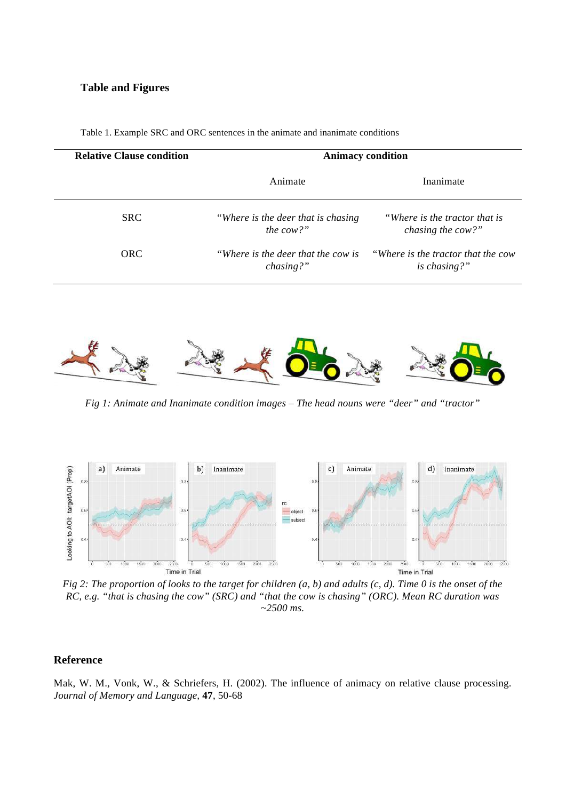#### **Table and Figures**

| <b>Relative Clause condition</b> | <b>Animacy condition</b>                            |                                                          |  |  |
|----------------------------------|-----------------------------------------------------|----------------------------------------------------------|--|--|
|                                  | Animate                                             | Inanimate                                                |  |  |
| <b>SRC</b>                       | "Where is the deer that is chasing"<br>the cow?"    | "Where is the tractor that is<br>chasing the cow?"       |  |  |
| <b>ORC</b>                       | "Where is the deer that the cow is"<br>$chasing?$ " | <i>Where is the tractor that the cow</i><br>is chasing?" |  |  |

Table 1. Example SRC and ORC sentences in the animate and inanimate conditions



*Fig 1: Animate and Inanimate condition images – The head nouns were "deer" and "tractor"*



*Fig 2: The proportion of looks to the target for children (a, b) and adults (c, d). Time 0 is the onset of the RC, e.g. "that is chasing the cow" (SRC) and "that the cow is chasing" (ORC). Mean RC duration was ~2500 ms.*

#### **Reference**

Mak, W. M., Vonk, W., & Schriefers, H. (2002). The influence of animacy on relative clause processing. *Journal of Memory and Language,* **47**, 50-68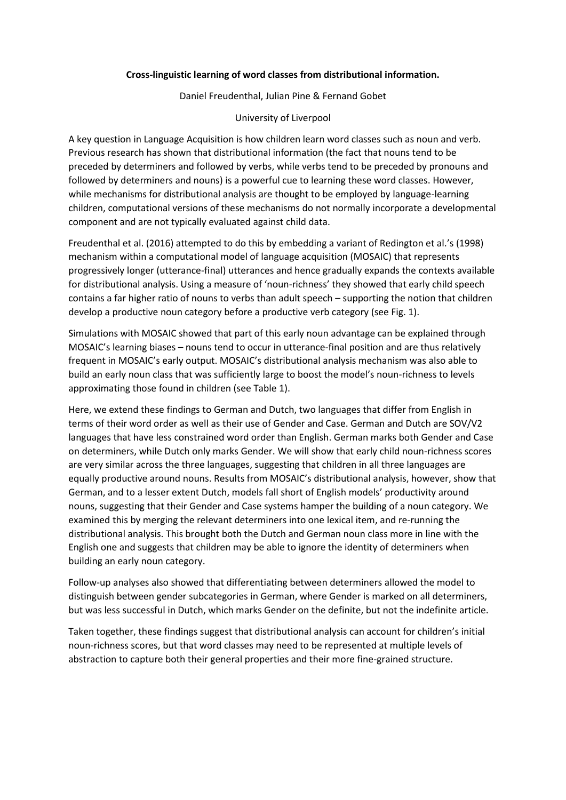#### **Cross-linguistic learning of word classes from distributional information.**

Daniel Freudenthal, Julian Pine & Fernand Gobet

#### University of Liverpool

A key question in Language Acquisition is how children learn word classes such as noun and verb. Previous research has shown that distributional information (the fact that nouns tend to be preceded by determiners and followed by verbs, while verbs tend to be preceded by pronouns and followed by determiners and nouns) is a powerful cue to learning these word classes. However, while mechanisms for distributional analysis are thought to be employed by language-learning children, computational versions of these mechanisms do not normally incorporate a developmental component and are not typically evaluated against child data.

Freudenthal et al. (2016) attempted to do this by embedding a variant of Redington et al.'s (1998) mechanism within a computational model of language acquisition (MOSAIC) that represents progressively longer (utterance-final) utterances and hence gradually expands the contexts available for distributional analysis. Using a measure of 'noun-richness' they showed that early child speech contains a far higher ratio of nouns to verbs than adult speech – supporting the notion that children develop a productive noun category before a productive verb category (see Fig. 1).

Simulations with MOSAIC showed that part of this early noun advantage can be explained through MOSAIC's learning biases – nouns tend to occur in utterance-final position and are thus relatively frequent in MOSAIC's early output. MOSAIC's distributional analysis mechanism was also able to build an early noun class that was sufficiently large to boost the model's noun-richness to levels approximating those found in children (see Table 1).

Here, we extend these findings to German and Dutch, two languages that differ from English in terms of their word order as well as their use of Gender and Case. German and Dutch are SOV/V2 languages that have less constrained word order than English. German marks both Gender and Case on determiners, while Dutch only marks Gender. We will show that early child noun-richness scores are very similar across the three languages, suggesting that children in all three languages are equally productive around nouns. Results from MOSAIC's distributional analysis, however, show that German, and to a lesser extent Dutch, models fall short of English models' productivity around nouns, suggesting that their Gender and Case systems hamper the building of a noun category. We examined this by merging the relevant determiners into one lexical item, and re-running the distributional analysis. This brought both the Dutch and German noun class more in line with the English one and suggests that children may be able to ignore the identity of determiners when building an early noun category.

Follow-up analyses also showed that differentiating between determiners allowed the model to distinguish between gender subcategories in German, where Gender is marked on all determiners, but was less successful in Dutch, which marks Gender on the definite, but not the indefinite article.

Taken together, these findings suggest that distributional analysis can account for children's initial noun-richness scores, but that word classes may need to be represented at multiple levels of abstraction to capture both their general properties and their more fine-grained structure.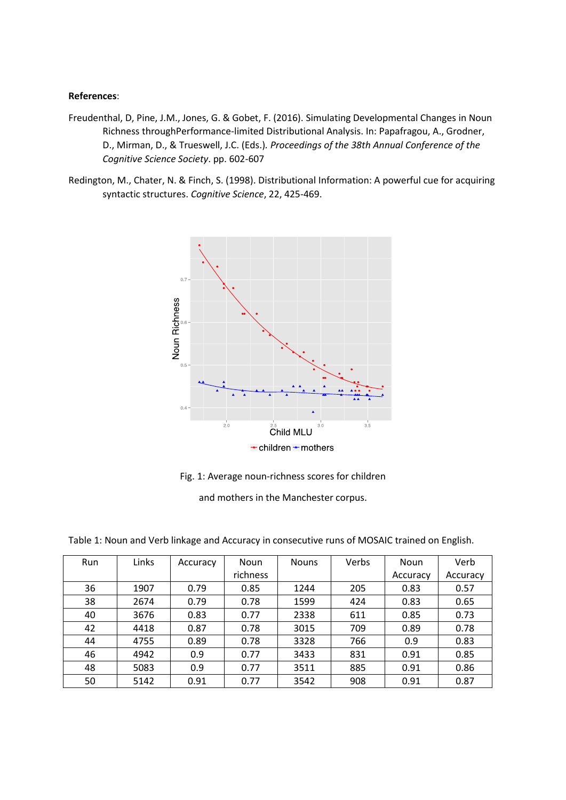#### **References**:

- Freudenthal, D, Pine, J.M., Jones, G. & Gobet, F. (2016). Simulating Developmental Changes in Noun Richness throughPerformance-limited Distributional Analysis. In: Papafragou, A., Grodner, D., Mirman, D., & Trueswell, J.C. (Eds.)*. Proceedings of the 38th Annual Conference of the Cognitive Science Society*. pp. 602-607
- Redington, M., Chater, N. & Finch, S. (1998). Distributional Information: A powerful cue for acquiring syntactic structures. *Cognitive Science*, 22, 425-469.



Fig. 1: Average noun-richness scores for children

and mothers in the Manchester corpus.

| Run | Links | Accuracy | <b>Noun</b> | <b>Nouns</b> | Verbs | <b>Noun</b> | Verb     |
|-----|-------|----------|-------------|--------------|-------|-------------|----------|
|     |       |          | richness    |              |       | Accuracy    | Accuracy |
| 36  | 1907  | 0.79     | 0.85        | 1244         | 205   | 0.83        | 0.57     |
| 38  | 2674  | 0.79     | 0.78        | 1599         | 424   | 0.83        | 0.65     |
| 40  | 3676  | 0.83     | 0.77        | 2338         | 611   | 0.85        | 0.73     |
| 42  | 4418  | 0.87     | 0.78        | 3015         | 709   | 0.89        | 0.78     |
| 44  | 4755  | 0.89     | 0.78        | 3328         | 766   | 0.9         | 0.83     |
| 46  | 4942  | 0.9      | 0.77        | 3433         | 831   | 0.91        | 0.85     |
| 48  | 5083  | 0.9      | 0.77        | 3511         | 885   | 0.91        | 0.86     |
| 50  | 5142  | 0.91     | 0.77        | 3542         | 908   | 0.91        | 0.87     |

Table 1: Noun and Verb linkage and Accuracy in consecutive runs of MOSAIC trained on English.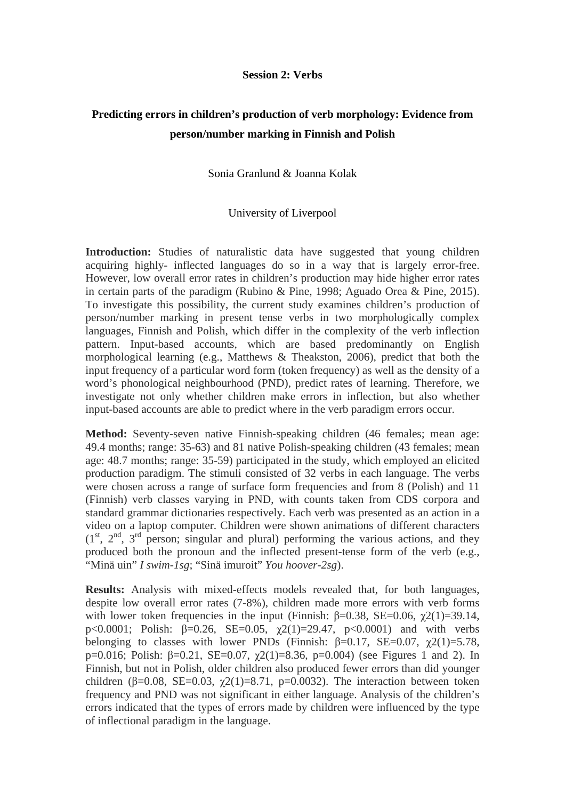#### **Session 2: Verbs**

# **Predicting errors in children's production of verb morphology: Evidence from person/number marking in Finnish and Polish**

## Sonia Granlund & Joanna Kolak

## University of Liverpool

**Introduction:** Studies of naturalistic data have suggested that young children acquiring highly- inflected languages do so in a way that is largely error-free. However, low overall error rates in children's production may hide higher error rates in certain parts of the paradigm (Rubino & Pine, 1998; Aguado Orea & Pine, 2015). To investigate this possibility, the current study examines children's production of person/number marking in present tense verbs in two morphologically complex languages, Finnish and Polish, which differ in the complexity of the verb inflection pattern. Input-based accounts, which are based predominantly on English morphological learning (e.g., Matthews & Theakston, 2006), predict that both the input frequency of a particular word form (token frequency) as well as the density of a word's phonological neighbourhood (PND), predict rates of learning. Therefore, we investigate not only whether children make errors in inflection, but also whether input-based accounts are able to predict where in the verb paradigm errors occur.

**Method:** Seventy-seven native Finnish-speaking children (46 females; mean age: 49.4 months; range: 35-63) and 81 native Polish-speaking children (43 females; mean age: 48.7 months; range: 35-59) participated in the study, which employed an elicited production paradigm. The stimuli consisted of 32 verbs in each language. The verbs were chosen across a range of surface form frequencies and from 8 (Polish) and 11 (Finnish) verb classes varying in PND, with counts taken from CDS corpora and standard grammar dictionaries respectively. Each verb was presented as an action in a video on a laptop computer. Children were shown animations of different characters  $(1<sup>st</sup>, 2<sup>nd</sup>, 3<sup>rd</sup> person; singular and plural) performing the various actions, and they$ produced both the pronoun and the inflected present-tense form of the verb (e.g., "Minä uin" *I swim-1sg*; "Sinä imuroit" *You hoover-2sg*).

**Results:** Analysis with mixed-effects models revealed that, for both languages, despite low overall error rates (7-8%), children made more errors with verb forms with lower token frequencies in the input (Finnish:  $\beta$ =0.38, SE=0.06,  $\chi$ 2(1)=39.14, p<0.0001; Polish: β=0.26, SE=0.05,  $\gamma$ 2(1)=29.47, p<0.0001) and with verbs belonging to classes with lower PNDs (Finnish:  $\beta = 0.17$ , SE=0.07,  $\gamma$ 2(1)=5.78, p=0.016; Polish:  $\beta$ =0.21, SE=0.07,  $\gamma$ 2(1)=8.36, p=0.004) (see Figures 1 and 2). In Finnish, but not in Polish, older children also produced fewer errors than did younger children ( $\beta$ =0.08, SE=0.03,  $\gamma$ 2(1)=8.71, p=0.0032). The interaction between token frequency and PND was not significant in either language. Analysis of the children's errors indicated that the types of errors made by children were influenced by the type of inflectional paradigm in the language.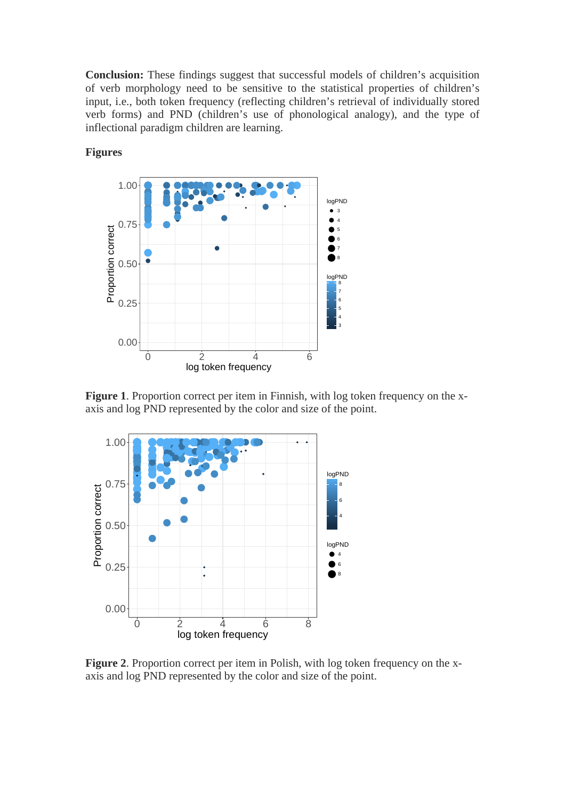**Conclusion:** These findings suggest that successful models of children's acquisition of verb morphology need to be sensitive to the statistical properties of children's input, i.e., both token frequency (reflecting children's retrieval of individually stored verb forms) and PND (children's use of phonological analogy), and the type of inflectional paradigm children are learning.



## **Figures**

**Figure 1**. Proportion correct per item in Finnish, with log token frequency on the x-**Figure 1.** Proportion correct per from in Finnish, what log token requency on axis and log PND represented by the color and size of the point.  $P(X = 1)$ 



**Figure 2**. Proportion correct per item in Polish, with log token frequency on the xaxis and log PND represented by the color and size of the point.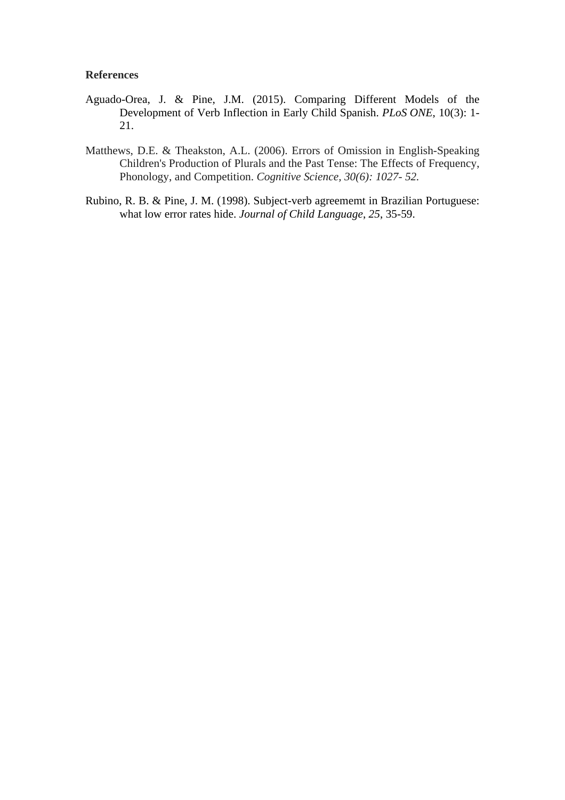## **References**

- Aguado-Orea, J. & Pine, J.M. (2015). Comparing Different Models of the Development of Verb Inflection in Early Child Spanish. *PLoS ONE*, 10(3): 1- 21.
- Matthews, D.E. & Theakston, A.L. (2006). Errors of Omission in English-Speaking Children's Production of Plurals and the Past Tense: The Effects of Frequency, Phonology, and Competition. *Cognitive Science, 30(6): 1027- 52.*
- Rubino, R. B. & Pine, J. M. (1998). Subject-verb agreememt in Brazilian Portuguese: what low error rates hide. *Journal of Child Language*, *25*, 35-59.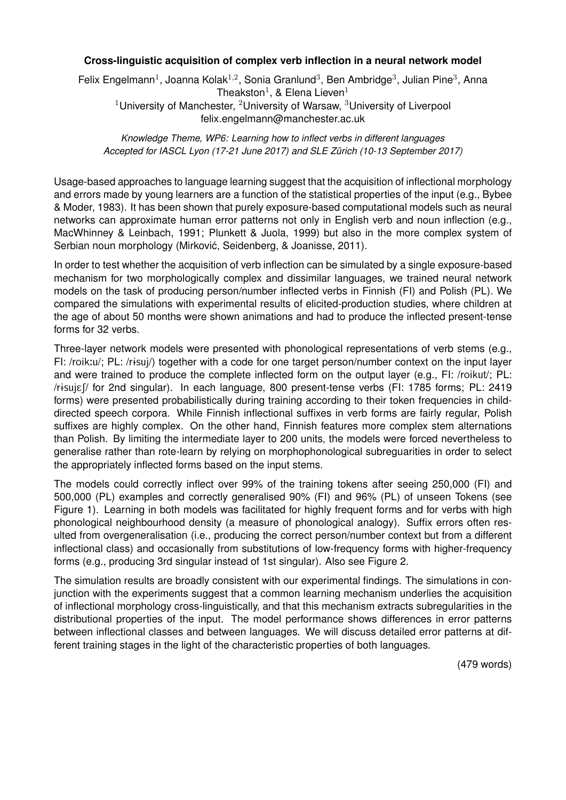## **Cross-linguistic acquisition of complex verb inflection in a neural network model**

Felix Engelmann<sup>1</sup>, Joanna Kolak<sup>1,2</sup>, Sonia Granlund<sup>3</sup>, Ben Ambridge<sup>3</sup>, Julian Pine<sup>3</sup>, Anna Theakston<sup>1</sup>, & Elena Lieven<sup>1</sup> <sup>1</sup>University of Manchester, <sup>2</sup>University of Warsaw, <sup>3</sup>University of Liverpool [felix.engelmann@manchester.ac.uk](mailto:felix.engelmann@manchester.ac.uk)

*Knowledge Theme, WP6: Learning how to inflect verbs in different languages Accepted for IASCL Lyon (17-21 June 2017) and SLE Zürich (10-13 September 2017)*

Usage-based approaches to language learning suggest that the acquisition of inflectional morphology and errors made by young learners are a function of the statistical properties of the input (e.g., Bybee & Moder, 1983). It has been shown that purely exposure-based computational models such as neural networks can approximate human error patterns not only in English verb and noun inflection (e.g., MacWhinney & Leinbach, 1991; Plunkett & Juola, 1999) but also in the more complex system of Serbian noun morphology (Mirković, Seidenberg, & Joanisse, 2011).

In order to test whether the acquisition of verb inflection can be simulated by a single exposure-based mechanism for two morphologically complex and dissimilar languages, we trained neural network models on the task of producing person/number inflected verbs in Finnish (FI) and Polish (PL). We compared the simulations with experimental results of elicited-production studies, where children at the age of about 50 months were shown animations and had to produce the inflected present-tense forms for 32 verbs.

Three-layer network models were presented with phonological representations of verb stems (e.g., FI: /roik:u/; PL: /rɨsuj/) together with a code for one target person/number context on the input layer and were trained to produce the complete inflected form on the output layer (e.g., FI: /roikut/; PL: /risujef/ for 2nd singular). In each language, 800 present-tense verbs (FI: 1785 forms; PL: 2419 forms) were presented probabilistically during training according to their token frequencies in childdirected speech corpora. While Finnish inflectional suffixes in verb forms are fairly regular, Polish suffixes are highly complex. On the other hand, Finnish features more complex stem alternations than Polish. By limiting the intermediate layer to 200 units, the models were forced nevertheless to generalise rather than rote-learn by relying on morphophonological subreguarities in order to select the appropriately inflected forms based on the input stems.

The models could correctly inflect over 99% of the training tokens after seeing 250,000 (FI) and 500,000 (PL) examples and correctly generalised 90% (FI) and 96% (PL) of unseen Tokens (see Figure [1\)](#page-0-0). Learning in both models was facilitated for highly frequent forms and for verbs with high phonological neighbourhood density (a measure of phonological analogy). Suffix errors often resulted from overgeneralisation (i.e., producing the correct person/number context but from a different inflectional class) and occasionally from substitutions of low-frequency forms with higher-frequency forms (e.g., producing 3rd singular instead of 1st singular). Also see Figure [2.](#page-0-1)

The simulation results are broadly consistent with our experimental findings. The simulations in conjunction with the experiments suggest that a common learning mechanism underlies the acquisition of inflectional morphology cross-linguistically, and that this mechanism extracts subregularities in the distributional properties of the input. The model performance shows differences in error patterns between inflectional classes and between languages. We will discuss detailed error patterns at different training stages in the light of the characteristic properties of both languages.

(479 words)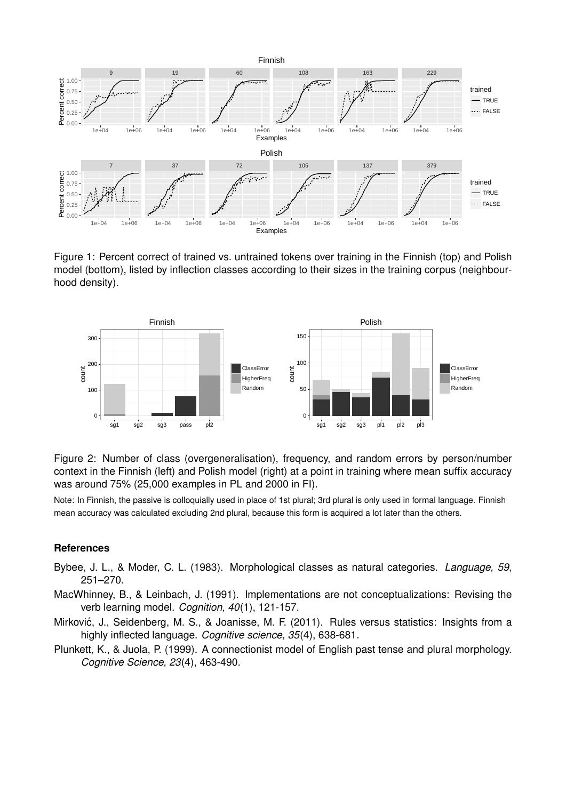

Figure 1: Percent correct of trained vs. untrained tokens over training in the Finnish (top) and Polish model (bottom), listed by inflection classes according to their sizes in the training corpus (neighbourhood density).



Figure 2: Number of class (overgeneralisation), frequency, and random errors by person/number context in the Finnish (left) and Polish model (right) at a point in training where mean suffix accuracy was around 75% (25,000 examples in PL and 2000 in FI).

Note: In Finnish, the passive is colloquially used in place of 1st plural; 3rd plural is only used in formal language. Finnish mean accuracy was calculated excluding 2nd plural, because this form is acquired a lot later than the others.

#### **References**

- Bybee, J. L., & Moder, C. L. (1983). Morphological classes as natural categories. *Language, 59*, 251–270.
- MacWhinney, B., & Leinbach, J. (1991). Implementations are not conceptualizations: Revising the verb learning model. *Cognition, 40*(1), 121-157.
- Mirković, J., Seidenberg, M. S., & Joanisse, M. F. (2011). Rules versus statistics: Insights from a highly inflected language. *Cognitive science, 35*(4), 638-681.
- Plunkett, K., & Juola, P. (1999). A connectionist model of English past tense and plural morphology. *Cognitive Science, 23*(4), 463-490.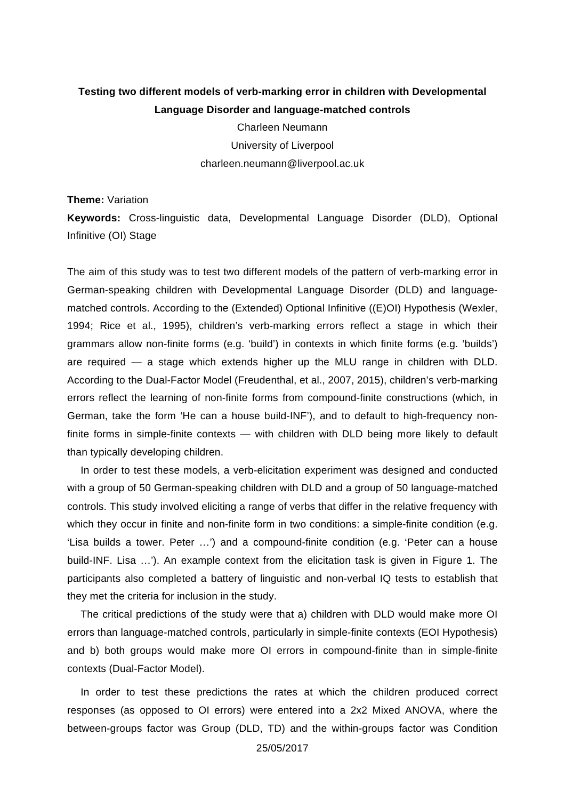# **Testing two different models of verb-marking error in children with Developmental Language Disorder and language-matched controls**

Charleen Neumann University of Liverpool charleen.neumann@liverpool.ac.uk

#### **Theme:** Variation

**Keywords:** Cross-linguistic data, Developmental Language Disorder (DLD), Optional Infinitive (OI) Stage

The aim of this study was to test two different models of the pattern of verb-marking error in German-speaking children with Developmental Language Disorder (DLD) and languagematched controls. According to the (Extended) Optional Infinitive ((E)OI) Hypothesis (Wexler, 1994; Rice et al., 1995), children's verb-marking errors reflect a stage in which their grammars allow non-finite forms (e.g. 'build') in contexts in which finite forms (e.g. 'builds') are required — a stage which extends higher up the MLU range in children with DLD. According to the Dual-Factor Model (Freudenthal, et al., 2007, 2015), children's verb-marking errors reflect the learning of non-finite forms from compound-finite constructions (which, in German, take the form 'He can a house build-INF'), and to default to high-frequency nonfinite forms in simple-finite contexts — with children with DLD being more likely to default than typically developing children.

In order to test these models, a verb-elicitation experiment was designed and conducted with a group of 50 German-speaking children with DLD and a group of 50 language-matched controls. This study involved eliciting a range of verbs that differ in the relative frequency with which they occur in finite and non-finite form in two conditions: a simple-finite condition (e.g. 'Lisa builds a tower. Peter …') and a compound-finite condition (e.g. 'Peter can a house build-INF. Lisa …'). An example context from the elicitation task is given in Figure 1. The participants also completed a battery of linguistic and non-verbal IQ tests to establish that they met the criteria for inclusion in the study.

The critical predictions of the study were that a) children with DLD would make more OI errors than language-matched controls, particularly in simple-finite contexts (EOI Hypothesis) and b) both groups would make more OI errors in compound-finite than in simple-finite contexts (Dual-Factor Model).

In order to test these predictions the rates at which the children produced correct responses (as opposed to OI errors) were entered into a 2x2 Mixed ANOVA, where the between-groups factor was Group (DLD, TD) and the within-groups factor was Condition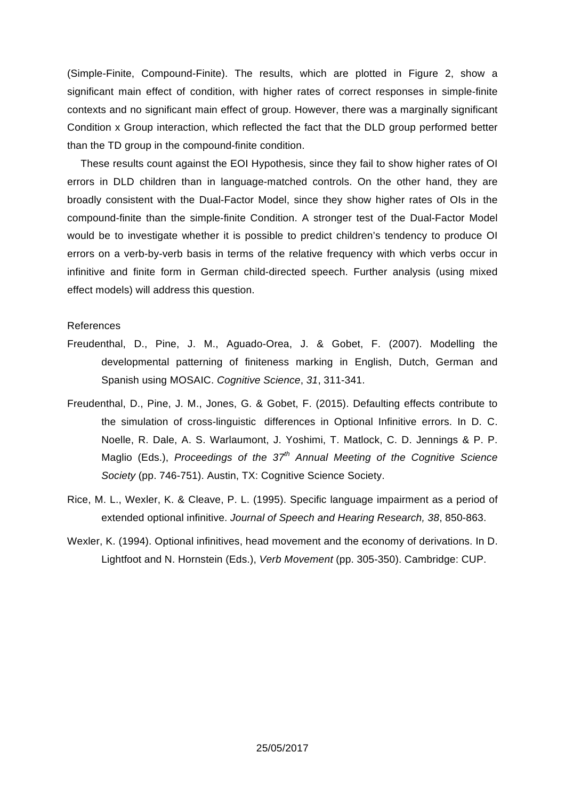(Simple-Finite, Compound-Finite). The results, which are plotted in Figure 2, show a significant main effect of condition, with higher rates of correct responses in simple-finite contexts and no significant main effect of group. However, there was a marginally significant Condition x Group interaction, which reflected the fact that the DLD group performed better than the TD group in the compound-finite condition.

These results count against the EOI Hypothesis, since they fail to show higher rates of OI errors in DLD children than in language-matched controls. On the other hand, they are broadly consistent with the Dual-Factor Model, since they show higher rates of OIs in the compound-finite than the simple-finite Condition. A stronger test of the Dual-Factor Model would be to investigate whether it is possible to predict children's tendency to produce OI errors on a verb-by-verb basis in terms of the relative frequency with which verbs occur in infinitive and finite form in German child-directed speech. Further analysis (using mixed effect models) will address this question.

#### References

- Freudenthal, D., Pine, J. M., Aguado-Orea, J. & Gobet, F. (2007). Modelling the developmental patterning of finiteness marking in English, Dutch, German and Spanish using MOSAIC. Cognitive Science, 31, 311-341.
- Freudenthal, D., Pine, J. M., Jones, G. & Gobet, F. (2015). Defaulting effects contribute to the simulation of cross-linguistic differences in Optional Infinitive errors. In D. C. Noelle, R. Dale, A. S. Warlaumont, J. Yoshimi, T. Matlock, C. D. Jennings & P. P. Maglio (Eds.), Proceedings of the  $37<sup>th</sup>$  Annual Meeting of the Cognitive Science Society (pp. 746-751). Austin, TX: Cognitive Science Society.
- Rice, M. L., Wexler, K. & Cleave, P. L. (1995). Specific language impairment as a period of extended optional infinitive. Journal of Speech and Hearing Research, 38, 850-863.
- Wexler, K. (1994). Optional infinitives, head movement and the economy of derivations. In D. Lightfoot and N. Hornstein (Eds.), Verb Movement (pp. 305-350). Cambridge: CUP.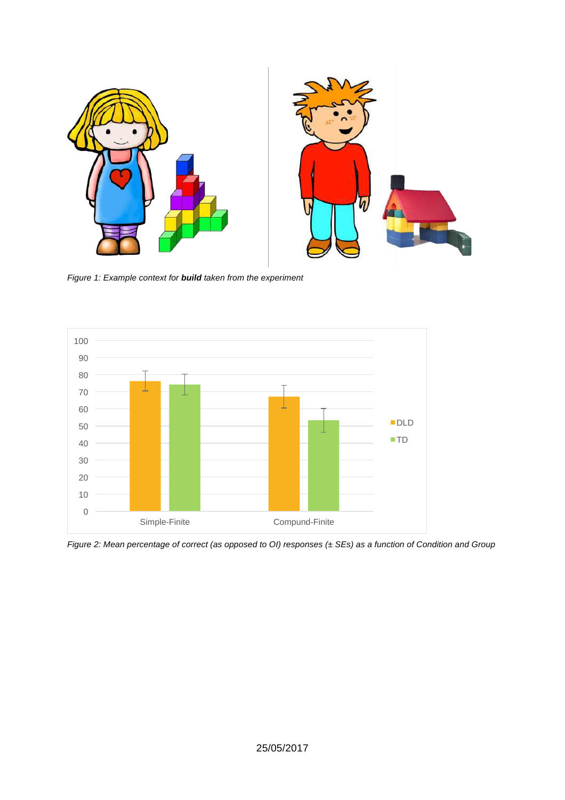

Figure 1: Example context for **build** taken from the experiment



Figure 2: Mean percentage of correct (as opposed to OI) responses (± SEs) as a function of Condition and Group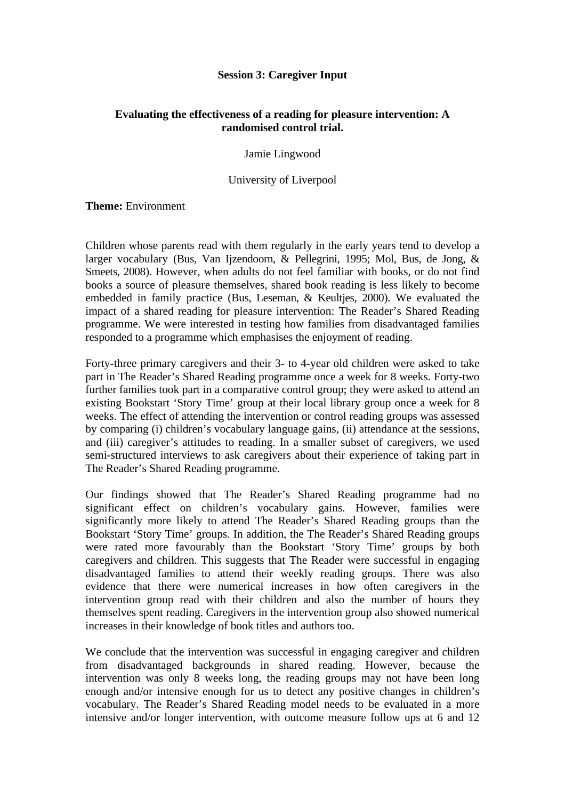## **Session 3: Caregiver Input**

## **Evaluating the effectiveness of a reading for pleasure intervention: A randomised control trial.**

Jamie Lingwood

University of Liverpool

## **Theme:** Environment

Children whose parents read with them regularly in the early years tend to develop a larger vocabulary (Bus, Van Ijzendoorn, & Pellegrini, 1995; Mol, Bus, de Jong, & Smeets, 2008). However, when adults do not feel familiar with books, or do not find books a source of pleasure themselves, shared book reading is less likely to become embedded in family practice (Bus, Leseman, & Keulties, 2000). We evaluated the impact of a shared reading for pleasure intervention: The Reader's Shared Reading programme. We were interested in testing how families from disadvantaged families responded to a programme which emphasises the enjoyment of reading.

Forty-three primary caregivers and their 3- to 4-year old children were asked to take part in The Reader's Shared Reading programme once a week for 8 weeks. Forty-two further families took part in a comparative control group; they were asked to attend an existing Bookstart 'Story Time' group at their local library group once a week for 8 weeks. The effect of attending the intervention or control reading groups was assessed by comparing (i) children's vocabulary language gains, (ii) attendance at the sessions, and (iii) caregiver's attitudes to reading. In a smaller subset of caregivers, we used semi-structured interviews to ask caregivers about their experience of taking part in The Reader's Shared Reading programme.

Our findings showed that The Reader's Shared Reading programme had no significant effect on children's vocabulary gains. However, families were significantly more likely to attend The Reader's Shared Reading groups than the Bookstart 'Story Time' groups. In addition, the The Reader's Shared Reading groups were rated more favourably than the Bookstart 'Story Time' groups by both caregivers and children. This suggests that The Reader were successful in engaging disadvantaged families to attend their weekly reading groups. There was also evidence that there were numerical increases in how often caregivers in the intervention group read with their children and also the number of hours they themselves spent reading. Caregivers in the intervention group also showed numerical increases in their knowledge of book titles and authors too.

We conclude that the intervention was successful in engaging caregiver and children from disadvantaged backgrounds in shared reading. However, because the intervention was only 8 weeks long, the reading groups may not have been long enough and/or intensive enough for us to detect any positive changes in children's vocabulary. The Reader's Shared Reading model needs to be evaluated in a more intensive and/or longer intervention, with outcome measure follow ups at 6 and 12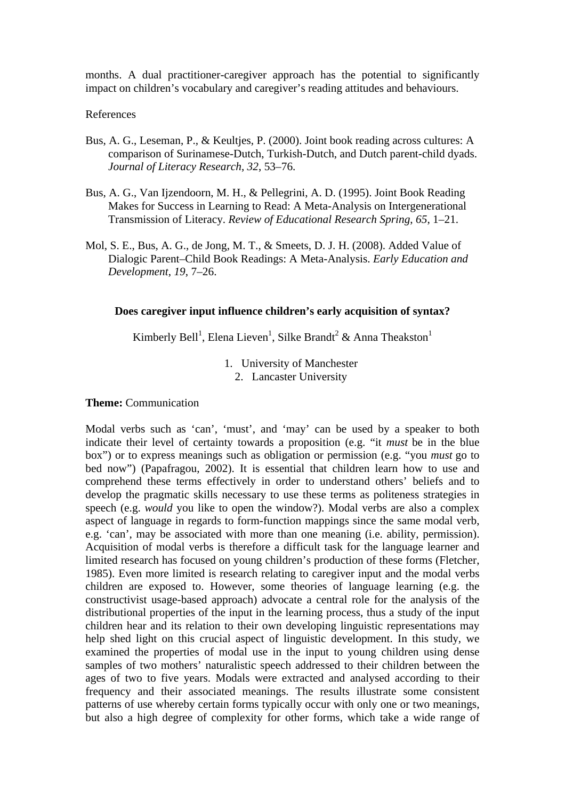months. A dual practitioner-caregiver approach has the potential to significantly impact on children's vocabulary and caregiver's reading attitudes and behaviours.

#### References

- Bus, A. G., Leseman, P., & Keultjes, P. (2000). Joint book reading across cultures: A comparison of Surinamese-Dutch, Turkish-Dutch, and Dutch parent-child dyads. *Journal of Literacy Research*, *32*, 53–76.
- Bus, A. G., Van Ijzendoorn, M. H., & Pellegrini, A. D. (1995). Joint Book Reading Makes for Success in Learning to Read: A Meta-Analysis on Intergenerational Transmission of Literacy. *Review of Educational Research Spring*, *65*, 1–21.
- Mol, S. E., Bus, A. G., de Jong, M. T., & Smeets, D. J. H. (2008). Added Value of Dialogic Parent–Child Book Readings: A Meta-Analysis. *Early Education and Development*, *19*, 7–26.

#### **Does caregiver input influence children's early acquisition of syntax?**

Kimberly Bell<sup>1</sup>, Elena Lieven<sup>1</sup>, Silke Brandt<sup>2</sup> & Anna Theakston<sup>1</sup>

1. University of Manchester

2. Lancaster University

#### **Theme:** Communication

Modal verbs such as 'can', 'must', and 'may' can be used by a speaker to both indicate their level of certainty towards a proposition (e.g. "it *must* be in the blue box") or to express meanings such as obligation or permission (e.g. "you *must* go to bed now") (Papafragou, 2002). It is essential that children learn how to use and comprehend these terms effectively in order to understand others' beliefs and to develop the pragmatic skills necessary to use these terms as politeness strategies in speech (e.g. *would* you like to open the window?). Modal verbs are also a complex aspect of language in regards to form-function mappings since the same modal verb, e.g. 'can', may be associated with more than one meaning (i.e. ability, permission). Acquisition of modal verbs is therefore a difficult task for the language learner and limited research has focused on young children's production of these forms (Fletcher, 1985). Even more limited is research relating to caregiver input and the modal verbs children are exposed to. However, some theories of language learning (e.g. the constructivist usage-based approach) advocate a central role for the analysis of the distributional properties of the input in the learning process, thus a study of the input children hear and its relation to their own developing linguistic representations may help shed light on this crucial aspect of linguistic development. In this study, we examined the properties of modal use in the input to young children using dense samples of two mothers' naturalistic speech addressed to their children between the ages of two to five years. Modals were extracted and analysed according to their frequency and their associated meanings. The results illustrate some consistent patterns of use whereby certain forms typically occur with only one or two meanings, but also a high degree of complexity for other forms, which take a wide range of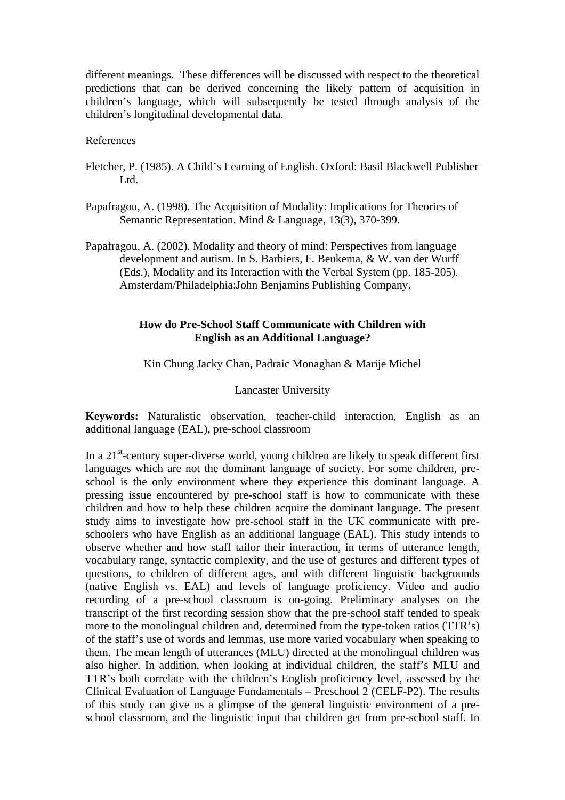different meanings. These differences will be discussed with respect to the theoretical predictions that can be derived concerning the likely pattern of acquisition in children's language, which will subsequently be tested through analysis of the children's longitudinal developmental data.

## References

- Fletcher, P. (1985). A Child's Learning of English. Oxford: Basil Blackwell Publisher Ltd.
- Papafragou, A. (1998). The Acquisition of Modality: Implications for Theories of Semantic Representation. Mind & Language, 13(3), 370-399.
- Papafragou, A. (2002). Modality and theory of mind: Perspectives from language development and autism. In S. Barbiers, F. Beukema, & W. van der Wurff (Eds.), Modality and its Interaction with the Verbal System (pp. 185-205). Amsterdam/Philadelphia:John Benjamins Publishing Company.

## **How do Pre-School Staff Communicate with Children with English as an Additional Language?**

Kin Chung Jacky Chan, Padraic Monaghan & Marije Michel

#### Lancaster University

**Keywords:** Naturalistic observation, teacher-child interaction, English as an additional language (EAL), pre-school classroom

In a 21<sup>st</sup>-century super-diverse world, young children are likely to speak different first languages which are not the dominant language of society. For some children, preschool is the only environment where they experience this dominant language. A pressing issue encountered by pre-school staff is how to communicate with these children and how to help these children acquire the dominant language. The present study aims to investigate how pre-school staff in the UK communicate with preschoolers who have English as an additional language (EAL). This study intends to observe whether and how staff tailor their interaction, in terms of utterance length, vocabulary range, syntactic complexity, and the use of gestures and different types of questions, to children of different ages, and with different linguistic backgrounds (native English vs. EAL) and levels of language proficiency. Video and audio recording of a pre-school classroom is on-going. Preliminary analyses on the transcript of the first recording session show that the pre-school staff tended to speak more to the monolingual children and, determined from the type-token ratios (TTR's) of the staff's use of words and lemmas, use more varied vocabulary when speaking to them. The mean length of utterances (MLU) directed at the monolingual children was also higher. In addition, when looking at individual children, the staff's MLU and TTR's both correlate with the children's English proficiency level, assessed by the Clinical Evaluation of Language Fundamentals – Preschool 2 (CELF-P2). The results of this study can give us a glimpse of the general linguistic environment of a preschool classroom, and the linguistic input that children get from pre-school staff. In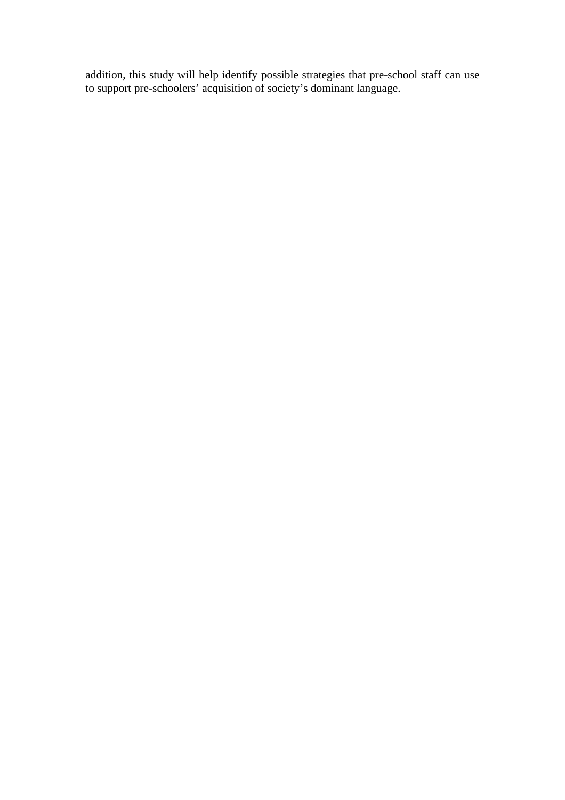addition, this study will help identify possible strategies that pre-school staff can use to support pre-schoolers' acquisition of society's dominant language.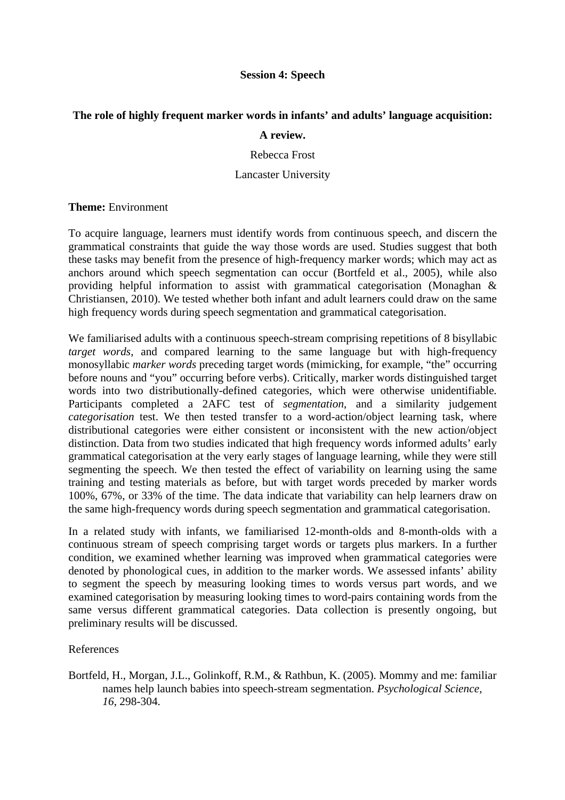## **Session 4: Speech**

## **The role of highly frequent marker words in infants' and adults' language acquisition:**

## **A review.**

Rebecca Frost

## Lancaster University

## **Theme:** Environment

To acquire language, learners must identify words from continuous speech, and discern the grammatical constraints that guide the way those words are used. Studies suggest that both these tasks may benefit from the presence of high-frequency marker words; which may act as anchors around which speech segmentation can occur (Bortfeld et al., 2005), while also providing helpful information to assist with grammatical categorisation (Monaghan & Christiansen, 2010). We tested whether both infant and adult learners could draw on the same high frequency words during speech segmentation and grammatical categorisation.

We familiarised adults with a continuous speech-stream comprising repetitions of 8 bisyllabic *target words*, and compared learning to the same language but with high-frequency monosyllabic *marker words* preceding target words (mimicking, for example, "the" occurring before nouns and "you" occurring before verbs). Critically, marker words distinguished target words into two distributionally-defined categories, which were otherwise unidentifiable*.* Participants completed a 2AFC test of *segmentation*, and a similarity judgement *categorisation* test. We then tested transfer to a word-action/object learning task, where distributional categories were either consistent or inconsistent with the new action/object distinction. Data from two studies indicated that high frequency words informed adults' early grammatical categorisation at the very early stages of language learning, while they were still segmenting the speech. We then tested the effect of variability on learning using the same training and testing materials as before, but with target words preceded by marker words 100%, 67%, or 33% of the time. The data indicate that variability can help learners draw on the same high-frequency words during speech segmentation and grammatical categorisation.

In a related study with infants, we familiarised 12-month-olds and 8-month-olds with a continuous stream of speech comprising target words or targets plus markers. In a further condition, we examined whether learning was improved when grammatical categories were denoted by phonological cues, in addition to the marker words. We assessed infants' ability to segment the speech by measuring looking times to words versus part words, and we examined categorisation by measuring looking times to word-pairs containing words from the same versus different grammatical categories. Data collection is presently ongoing, but preliminary results will be discussed.

## References

Bortfeld, H., Morgan, J.L., Golinkoff, R.M., & Rathbun, K. (2005). Mommy and me: familiar names help launch babies into speech-stream segmentation. *Psychological Science, 16*, 298-304.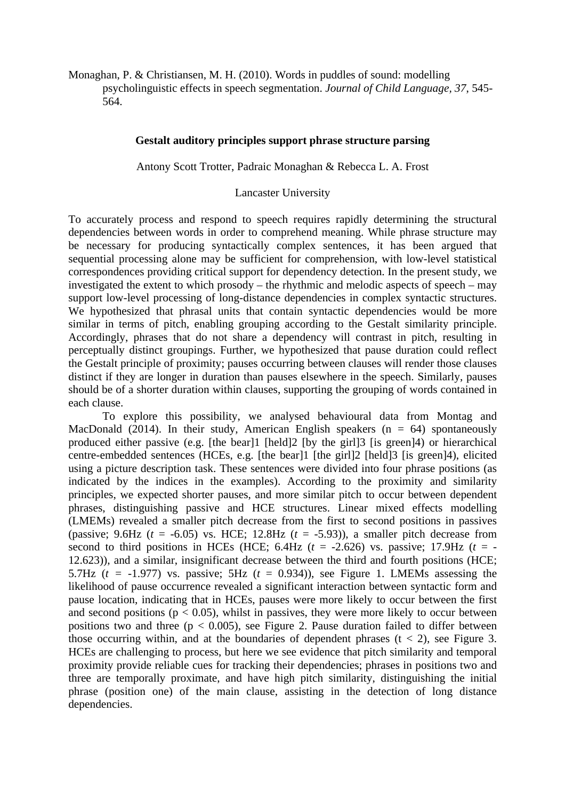Monaghan, P. & Christiansen, M. H. (2010). Words in puddles of sound: modelling psycholinguistic effects in speech segmentation. *Journal of Child Language, 37*, 545- 564.

#### **Gestalt auditory principles support phrase structure parsing**

Antony Scott Trotter, Padraic Monaghan & Rebecca L. A. Frost

Lancaster University

To accurately process and respond to speech requires rapidly determining the structural dependencies between words in order to comprehend meaning. While phrase structure may be necessary for producing syntactically complex sentences, it has been argued that sequential processing alone may be sufficient for comprehension, with low-level statistical correspondences providing critical support for dependency detection. In the present study, we investigated the extent to which prosody – the rhythmic and melodic aspects of speech – may support low-level processing of long-distance dependencies in complex syntactic structures. We hypothesized that phrasal units that contain syntactic dependencies would be more similar in terms of pitch, enabling grouping according to the Gestalt similarity principle. Accordingly, phrases that do not share a dependency will contrast in pitch, resulting in perceptually distinct groupings. Further, we hypothesized that pause duration could reflect the Gestalt principle of proximity; pauses occurring between clauses will render those clauses distinct if they are longer in duration than pauses elsewhere in the speech. Similarly, pauses should be of a shorter duration within clauses, supporting the grouping of words contained in each clause.

To explore this possibility, we analysed behavioural data from Montag and MacDonald (2014). In their study, American English speakers ( $n = 64$ ) spontaneously produced either passive (e.g. [the bear]1 [held]2 [by the girl]3 [is green]4) or hierarchical centre-embedded sentences (HCEs, e.g. [the bear]1 [the girl]2 [held]3 [is green]4), elicited using a picture description task. These sentences were divided into four phrase positions (as indicated by the indices in the examples). According to the proximity and similarity principles, we expected shorter pauses, and more similar pitch to occur between dependent phrases, distinguishing passive and HCE structures. Linear mixed effects modelling (LMEMs) revealed a smaller pitch decrease from the first to second positions in passives (passive; 9.6Hz  $(t = -6.05)$  vs. HCE; 12.8Hz  $(t = -5.93)$ ), a smaller pitch decrease from second to third positions in HCEs (HCE; 6.4Hz ( $t = -2.626$ ) vs. passive; 17.9Hz ( $t = -1$ ) 12.623)), and a similar, insignificant decrease between the third and fourth positions (HCE; 5.7Hz ( $t = -1.977$ ) vs. passive; 5Hz ( $t = 0.934$ )), see Figure 1. LMEMs assessing the likelihood of pause occurrence revealed a significant interaction between syntactic form and pause location, indicating that in HCEs, pauses were more likely to occur between the first and second positions ( $p < 0.05$ ), whilst in passives, they were more likely to occur between positions two and three ( $p < 0.005$ ), see Figure 2. Pause duration failed to differ between those occurring within, and at the boundaries of dependent phrases  $(t < 2)$ , see Figure 3. HCEs are challenging to process, but here we see evidence that pitch similarity and temporal proximity provide reliable cues for tracking their dependencies; phrases in positions two and three are temporally proximate, and have high pitch similarity, distinguishing the initial phrase (position one) of the main clause, assisting in the detection of long distance dependencies.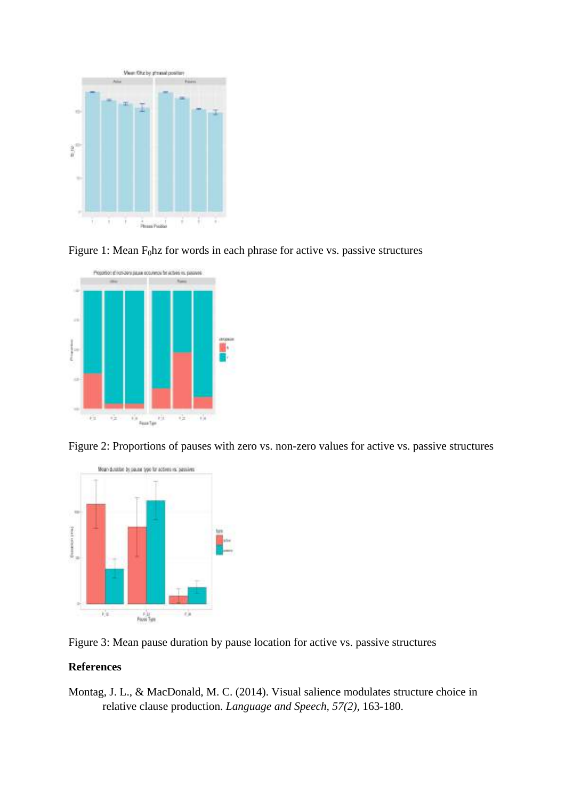

Figure 1: Mean  $F_0$ hz for words in each phrase for active vs. passive structures



Figure 2: Proportions of pauses with zero vs. non-zero values for active vs. passive structures



Figure 3: Mean pause duration by pause location for active vs. passive structures

## **References**

Montag, J. L., & MacDonald, M. C. (2014). Visual salience modulates structure choice in relative clause production. *Language and Speech, 57(2),* 163-180.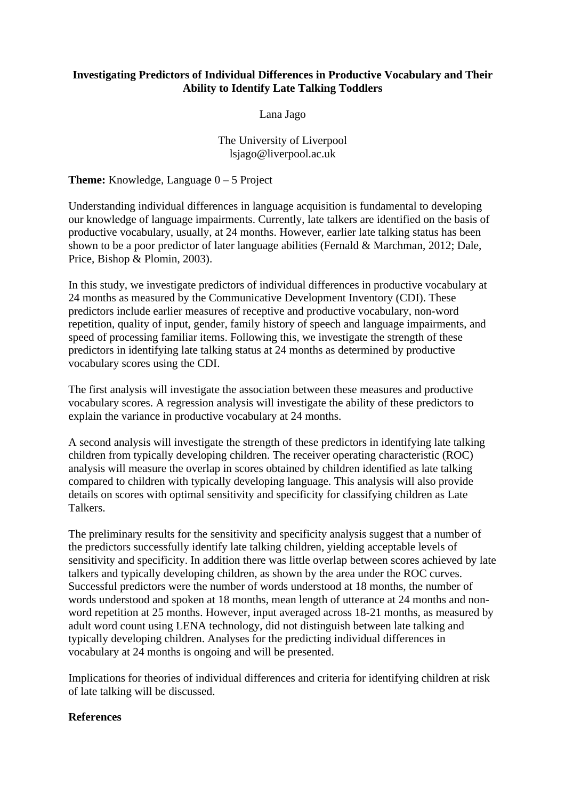## **Investigating Predictors of Individual Differences in Productive Vocabulary and Their Ability to Identify Late Talking Toddlers**

Lana Jago

## The University of Liverpool lsjago@liverpool.ac.uk

**Theme:** Knowledge, Language 0 – 5 Project

Understanding individual differences in language acquisition is fundamental to developing our knowledge of language impairments. Currently, late talkers are identified on the basis of productive vocabulary, usually, at 24 months. However, earlier late talking status has been shown to be a poor predictor of later language abilities (Fernald & Marchman, 2012; Dale, Price, Bishop & Plomin, 2003).

In this study, we investigate predictors of individual differences in productive vocabulary at 24 months as measured by the Communicative Development Inventory (CDI). These predictors include earlier measures of receptive and productive vocabulary, non-word repetition, quality of input, gender, family history of speech and language impairments, and speed of processing familiar items. Following this, we investigate the strength of these predictors in identifying late talking status at 24 months as determined by productive vocabulary scores using the CDI.

The first analysis will investigate the association between these measures and productive vocabulary scores. A regression analysis will investigate the ability of these predictors to explain the variance in productive vocabulary at 24 months.

A second analysis will investigate the strength of these predictors in identifying late talking children from typically developing children. The receiver operating characteristic (ROC) analysis will measure the overlap in scores obtained by children identified as late talking compared to children with typically developing language. This analysis will also provide details on scores with optimal sensitivity and specificity for classifying children as Late Talkers.

The preliminary results for the sensitivity and specificity analysis suggest that a number of the predictors successfully identify late talking children, yielding acceptable levels of sensitivity and specificity. In addition there was little overlap between scores achieved by late talkers and typically developing children, as shown by the area under the ROC curves. Successful predictors were the number of words understood at 18 months, the number of words understood and spoken at 18 months, mean length of utterance at 24 months and nonword repetition at 25 months. However, input averaged across 18-21 months, as measured by adult word count using LENA technology, did not distinguish between late talking and typically developing children. Analyses for the predicting individual differences in vocabulary at 24 months is ongoing and will be presented.

Implications for theories of individual differences and criteria for identifying children at risk of late talking will be discussed.

## **References**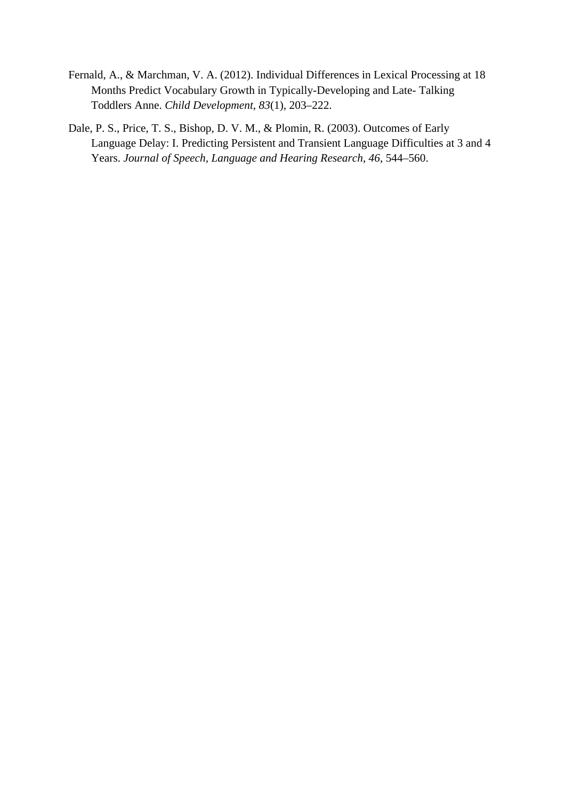- Fernald, A., & Marchman, V. A. (2012). Individual Differences in Lexical Processing at 18 Months Predict Vocabulary Growth in Typically-Developing and Late- Talking Toddlers Anne. *Child Development*, *83*(1), 203–222.
- Dale, P. S., Price, T. S., Bishop, D. V. M., & Plomin, R. (2003). Outcomes of Early Language Delay: I. Predicting Persistent and Transient Language Difficulties at 3 and 4 Years. *Journal of Speech, Language and Hearing Research*, *46*, 544–560.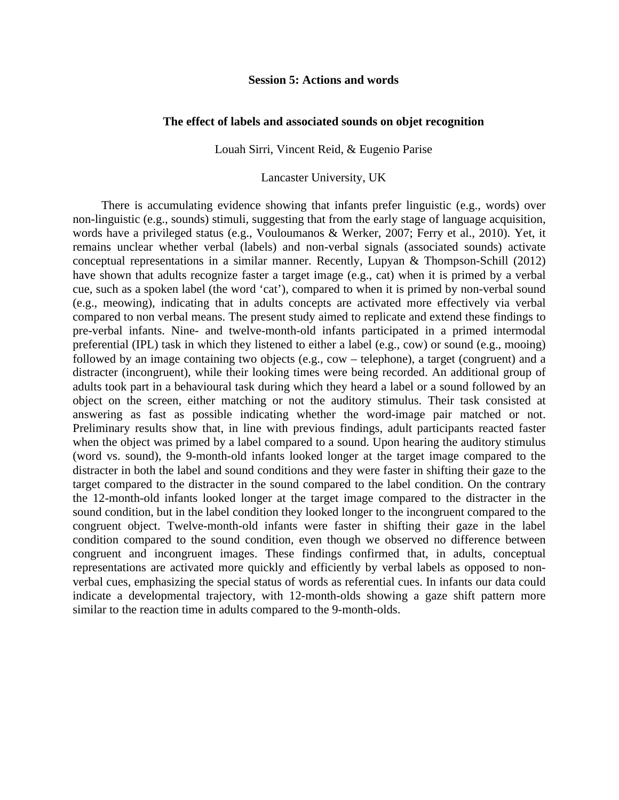#### **Session 5: Actions and words**

#### **The effect of labels and associated sounds on objet recognition**

Louah Sirri, Vincent Reid, & Eugenio Parise

Lancaster University, UK

There is accumulating evidence showing that infants prefer linguistic (e.g., words) over non-linguistic (e.g., sounds) stimuli, suggesting that from the early stage of language acquisition, words have a privileged status (e.g., Vouloumanos & Werker, 2007; Ferry et al., 2010). Yet, it remains unclear whether verbal (labels) and non-verbal signals (associated sounds) activate conceptual representations in a similar manner. Recently, Lupyan & Thompson-Schill (2012) have shown that adults recognize faster a target image (e.g., cat) when it is primed by a verbal cue, such as a spoken label (the word 'cat'), compared to when it is primed by non-verbal sound (e.g., meowing), indicating that in adults concepts are activated more effectively via verbal compared to non verbal means. The present study aimed to replicate and extend these findings to pre-verbal infants. Nine- and twelve-month-old infants participated in a primed intermodal preferential (IPL) task in which they listened to either a label (e.g., cow) or sound (e.g., mooing) followed by an image containing two objects (e.g., cow – telephone), a target (congruent) and a distracter (incongruent), while their looking times were being recorded. An additional group of adults took part in a behavioural task during which they heard a label or a sound followed by an object on the screen, either matching or not the auditory stimulus. Their task consisted at answering as fast as possible indicating whether the word-image pair matched or not. Preliminary results show that, in line with previous findings, adult participants reacted faster when the object was primed by a label compared to a sound. Upon hearing the auditory stimulus (word vs. sound), the 9-month-old infants looked longer at the target image compared to the distracter in both the label and sound conditions and they were faster in shifting their gaze to the target compared to the distracter in the sound compared to the label condition. On the contrary the 12-month-old infants looked longer at the target image compared to the distracter in the sound condition, but in the label condition they looked longer to the incongruent compared to the congruent object. Twelve-month-old infants were faster in shifting their gaze in the label condition compared to the sound condition, even though we observed no difference between congruent and incongruent images. These findings confirmed that, in adults, conceptual representations are activated more quickly and efficiently by verbal labels as opposed to nonverbal cues, emphasizing the special status of words as referential cues. In infants our data could indicate a developmental trajectory, with 12-month-olds showing a gaze shift pattern more similar to the reaction time in adults compared to the 9-month-olds.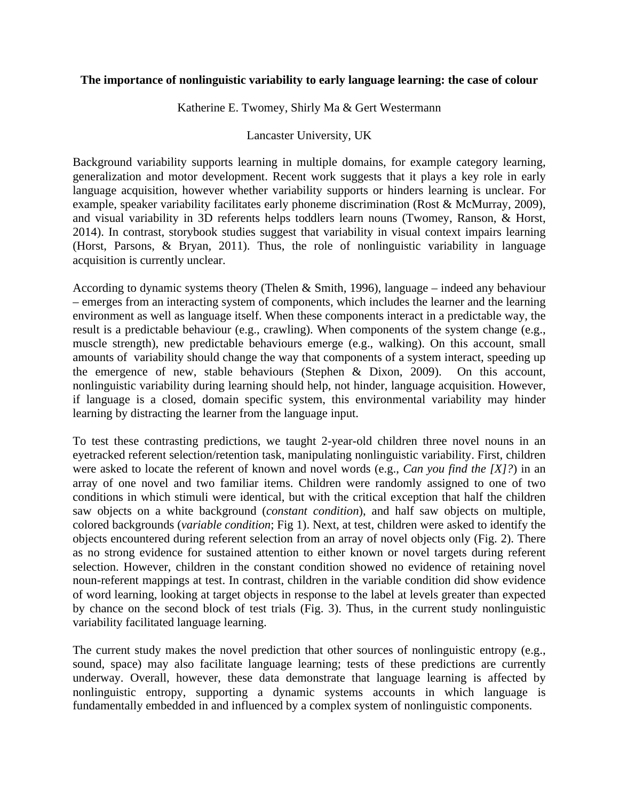#### **The importance of nonlinguistic variability to early language learning: the case of colour**

Katherine E. Twomey, Shirly Ma & Gert Westermann

#### Lancaster University, UK

Background variability supports learning in multiple domains, for example category learning, generalization and motor development. Recent work suggests that it plays a key role in early language acquisition, however whether variability supports or hinders learning is unclear. For example, speaker variability facilitates early phoneme discrimination (Rost & McMurray, 2009), and visual variability in 3D referents helps toddlers learn nouns (Twomey, Ranson, & Horst, 2014). In contrast, storybook studies suggest that variability in visual context impairs learning (Horst, Parsons, & Bryan, 2011). Thus, the role of nonlinguistic variability in language acquisition is currently unclear.

According to dynamic systems theory (Thelen & Smith, 1996), language – indeed any behaviour – emerges from an interacting system of components, which includes the learner and the learning environment as well as language itself. When these components interact in a predictable way, the result is a predictable behaviour (e.g., crawling). When components of the system change (e.g., muscle strength), new predictable behaviours emerge (e.g., walking). On this account, small amounts of variability should change the way that components of a system interact, speeding up the emergence of new, stable behaviours (Stephen & Dixon, 2009). On this account, nonlinguistic variability during learning should help, not hinder, language acquisition. However, if language is a closed, domain specific system, this environmental variability may hinder learning by distracting the learner from the language input.

To test these contrasting predictions, we taught 2-year-old children three novel nouns in an eyetracked referent selection/retention task, manipulating nonlinguistic variability. First, children were asked to locate the referent of known and novel words (e.g., *Can you find the [X]?*) in an array of one novel and two familiar items. Children were randomly assigned to one of two conditions in which stimuli were identical, but with the critical exception that half the children saw objects on a white background (*constant condition*), and half saw objects on multiple, colored backgrounds (*variable condition*; Fig 1). Next, at test, children were asked to identify the objects encountered during referent selection from an array of novel objects only (Fig. 2). There as no strong evidence for sustained attention to either known or novel targets during referent selection. However, children in the constant condition showed no evidence of retaining novel noun-referent mappings at test. In contrast, children in the variable condition did show evidence of word learning, looking at target objects in response to the label at levels greater than expected by chance on the second block of test trials (Fig. 3). Thus, in the current study nonlinguistic variability facilitated language learning.

The current study makes the novel prediction that other sources of nonlinguistic entropy (e.g., sound, space) may also facilitate language learning; tests of these predictions are currently underway. Overall, however, these data demonstrate that language learning is affected by nonlinguistic entropy, supporting a dynamic systems accounts in which language is fundamentally embedded in and influenced by a complex system of nonlinguistic components.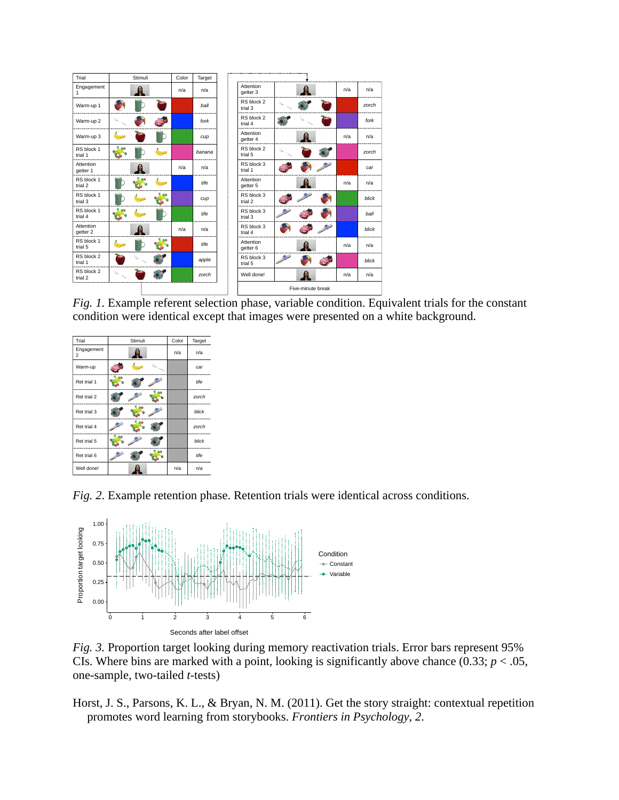| Trial                 | Stimuli | Color | Target |                       |                   |     |       |
|-----------------------|---------|-------|--------|-----------------------|-------------------|-----|-------|
| Engagement<br>1       |         | n/a   | n/a    | Attention<br>getter 3 |                   | n/a | n/a   |
| Warm-up 1             |         |       | ball   | RS block 2<br>trial 3 |                   |     | zorch |
| Warm-up 2             |         |       | fork   | RS block 2<br>trial 4 |                   |     | fork  |
| Warm-up 3             |         |       | cup    | Attention<br>getter 4 |                   | n/a | n/a   |
| RS block 1<br>trial 1 |         |       | banana | RS block 2<br>trial 5 |                   |     | zorch |
| Attention<br>getter 1 |         | n/a   | n/a    | RS block 3<br>trial 1 |                   |     | car   |
| RS block 1<br>trial 2 |         |       | tife   | Attention<br>getter 5 |                   | n/a | n/a   |
| RS block 1<br>trial 3 |         |       | cup    | RS block 3<br>trial 2 |                   |     | blick |
| RS block 1<br>trial 4 |         |       | tife   | RS block 3<br>trial 3 |                   |     | ball  |
| Attention<br>getter 2 |         | n/a   | n/a    | RS block 3<br>trial 4 |                   |     | blick |
| RS block 1<br>trial 5 |         |       | tife   | Attention<br>getter 6 |                   | n/a | n/a   |
| RS block 2<br>trial 1 |         |       | apple  | RS block 3<br>trial 5 |                   |     | blick |
| RS block 2<br>trial 2 |         |       | zorch  | Well done!            |                   | n/a | n/a   |
|                       |         |       |        |                       | Five-minute break |     |       |

*Fig. 1*. Example referent selection phase, variable condition. Equivalent trials for the constant condition were identical except that images were presented on a white background.



*Fig. 2*. Example retention phase. Retention trials were identical across conditions.



*Fig. 3.* Proportion target looking during memory reactivation trials. Error bars represent 95% CIs. Where bins are marked with a point, looking is significantly above chance  $(0.33; p < .05,$ one-sample, two-tailed *t*-tests)

Horst, J. S., Parsons, K. L., & Bryan, N. M. (2011). Get the story straight: contextual repetition promotes word learning from storybooks. *Frontiers in Psychology*, *2*.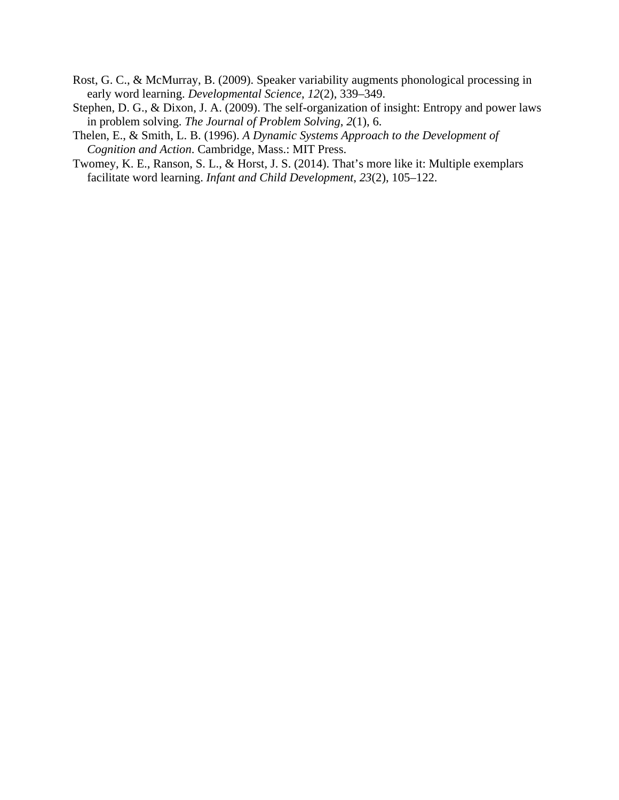- Rost, G. C., & McMurray, B. (2009). Speaker variability augments phonological processing in early word learning. *Developmental Science*, *12*(2), 339–349.
- Stephen, D. G., & Dixon, J. A. (2009). The self-organization of insight: Entropy and power laws in problem solving. *The Journal of Problem Solving*, *2*(1), 6.
- Thelen, E., & Smith, L. B. (1996). *A Dynamic Systems Approach to the Development of Cognition and Action*. Cambridge, Mass.: MIT Press.
- Twomey, K. E., Ranson, S. L., & Horst, J. S. (2014). That's more like it: Multiple exemplars facilitate word learning. *Infant and Child Development*, *23*(2), 105–122.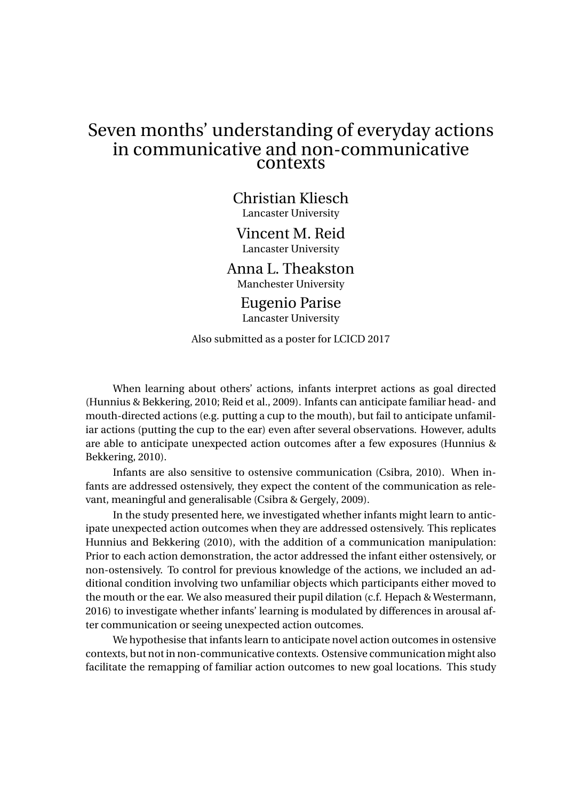# Seven months' understanding of everyday actions in communicative and non-communicative contexts

Christian Kliesch Lancaster University

Vincent M. Reid Lancaster University

Anna L. Theakston Manchester University

> Eugenio Parise Lancaster University

Also submitted as a poster for LCICD 2017

When learning about others' actions, infants interpret actions as goal directed (Hunnius & Bekkering, 2010; Reid et al., 2009). Infants can anticipate familiar head- and mouth-directed actions (e.g. putting a cup to the mouth), but fail to anticipate unfamiliar actions (putting the cup to the ear) even after several observations. However, adults are able to anticipate unexpected action outcomes after a few exposures (Hunnius & Bekkering, 2010).

Infants are also sensitive to ostensive communication (Csibra, 2010). When infants are addressed ostensively, they expect the content of the communication as relevant, meaningful and generalisable (Csibra & Gergely, 2009).

In the study presented here, we investigated whether infants might learn to anticipate unexpected action outcomes when they are addressed ostensively. This replicates Hunnius and Bekkering (2010), with the addition of a communication manipulation: Prior to each action demonstration, the actor addressed the infant either ostensively, or non-ostensively. To control for previous knowledge of the actions, we included an additional condition involving two unfamiliar objects which participants either moved to the mouth or the ear. We also measured their pupil dilation (c.f. Hepach & Westermann, 2016) to investigate whether infants' learning is modulated by differences in arousal after communication or seeing unexpected action outcomes.

We hypothesise that infants learn to anticipate novel action outcomes in ostensive contexts, but not in non-communicative contexts. Ostensive communication might also facilitate the remapping of familiar action outcomes to new goal locations. This study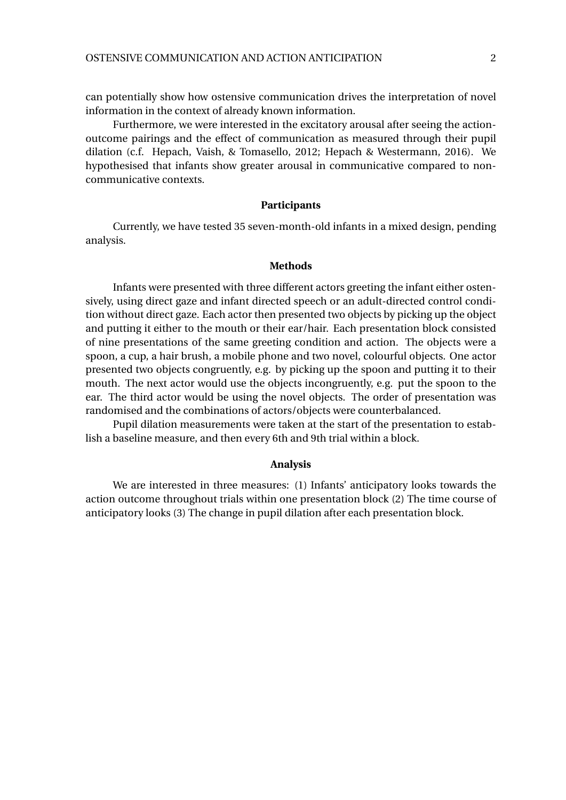can potentially show how ostensive communication drives the interpretation of novel information in the context of already known information.

Furthermore, we were interested in the excitatory arousal after seeing the actionoutcome pairings and the effect of communication as measured through their pupil dilation (c.f. Hepach, Vaish, & Tomasello, 2012; Hepach & Westermann, 2016). We hypothesised that infants show greater arousal in communicative compared to noncommunicative contexts.

#### **Participants**

Currently, we have tested 35 seven-month-old infants in a mixed design, pending analysis.

#### **Methods**

Infants were presented with three different actors greeting the infant either ostensively, using direct gaze and infant directed speech or an adult-directed control condition without direct gaze. Each actor then presented two objects by picking up the object and putting it either to the mouth or their ear/hair. Each presentation block consisted of nine presentations of the same greeting condition and action. The objects were a spoon, a cup, a hair brush, a mobile phone and two novel, colourful objects. One actor presented two objects congruently, e.g. by picking up the spoon and putting it to their mouth. The next actor would use the objects incongruently, e.g. put the spoon to the ear. The third actor would be using the novel objects. The order of presentation was randomised and the combinations of actors/objects were counterbalanced.

Pupil dilation measurements were taken at the start of the presentation to establish a baseline measure, and then every 6th and 9th trial within a block.

#### **Analysis**

We are interested in three measures: (1) Infants' anticipatory looks towards the action outcome throughout trials within one presentation block (2) The time course of anticipatory looks (3) The change in pupil dilation after each presentation block.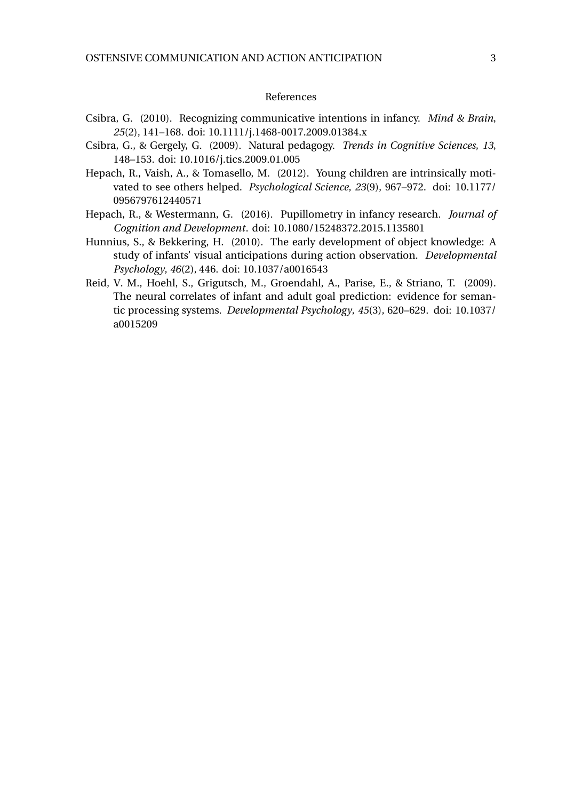#### References

- Csibra, G. (2010). Recognizing communicative intentions in infancy. *Mind & Brain*, *25*(2), 141–168. doi: 10.1111/j.1468-0017.2009.01384.x
- Csibra, G., & Gergely, G. (2009). Natural pedagogy. *Trends in Cognitive Sciences*, *13*, 148–153. doi: 10.1016/j.tics.2009.01.005
- Hepach, R., Vaish, A., & Tomasello, M. (2012). Young children are intrinsically motivated to see others helped. *Psychological Science*, *23*(9), 967–972. doi: 10.1177/ 0956797612440571
- Hepach, R., & Westermann, G. (2016). Pupillometry in infancy research. *Journal of Cognition and Development*. doi: 10.1080/15248372.2015.1135801
- Hunnius, S., & Bekkering, H. (2010). The early development of object knowledge: A study of infants' visual anticipations during action observation. *Developmental Psychology*, *46*(2), 446. doi: 10.1037/a0016543
- Reid, V. M., Hoehl, S., Grigutsch, M., Groendahl, A., Parise, E., & Striano, T. (2009). The neural correlates of infant and adult goal prediction: evidence for semantic processing systems. *Developmental Psychology*, *45*(3), 620–629. doi: 10.1037/ a0015209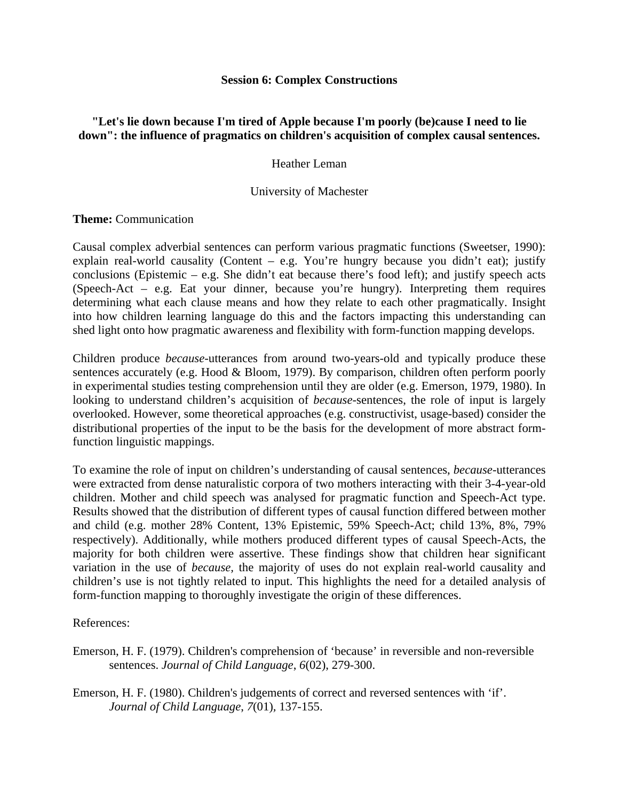#### **Session 6: Complex Constructions**

## **"Let's lie down because I'm tired of Apple because I'm poorly (be)cause I need to lie down": the influence of pragmatics on children's acquisition of complex causal sentences.**

Heather Leman

#### University of Machester

#### **Theme:** Communication

Causal complex adverbial sentences can perform various pragmatic functions (Sweetser, 1990): explain real-world causality (Content – e.g. You're hungry because you didn't eat); justify conclusions (Epistemic – e.g. She didn't eat because there's food left); and justify speech acts (Speech-Act – e.g. Eat your dinner, because you're hungry). Interpreting them requires determining what each clause means and how they relate to each other pragmatically. Insight into how children learning language do this and the factors impacting this understanding can shed light onto how pragmatic awareness and flexibility with form-function mapping develops.

Children produce *because-*utterances from around two-years-old and typically produce these sentences accurately (e.g. Hood & Bloom, 1979). By comparison, children often perform poorly in experimental studies testing comprehension until they are older (e.g. Emerson, 1979, 1980). In looking to understand children's acquisition of *because*-sentences, the role of input is largely overlooked. However, some theoretical approaches (e.g. constructivist, usage-based) consider the distributional properties of the input to be the basis for the development of more abstract formfunction linguistic mappings.

To examine the role of input on children's understanding of causal sentences, *because-*utterances were extracted from dense naturalistic corpora of two mothers interacting with their 3-4-year-old children. Mother and child speech was analysed for pragmatic function and Speech-Act type. Results showed that the distribution of different types of causal function differed between mother and child (e.g. mother 28% Content, 13% Epistemic, 59% Speech-Act; child 13%, 8%, 79% respectively). Additionally, while mothers produced different types of causal Speech-Acts, the majority for both children were assertive. These findings show that children hear significant variation in the use of *because,* the majority of uses do not explain real-world causality and children's use is not tightly related to input. This highlights the need for a detailed analysis of form-function mapping to thoroughly investigate the origin of these differences.

References:

Emerson, H. F. (1979). Children's comprehension of 'because' in reversible and non-reversible sentences. *Journal of Child Language*, *6*(02), 279-300.

Emerson, H. F. (1980). Children's judgements of correct and reversed sentences with 'if'. *Journal of Child Language*, *7*(01)*,* 137-155.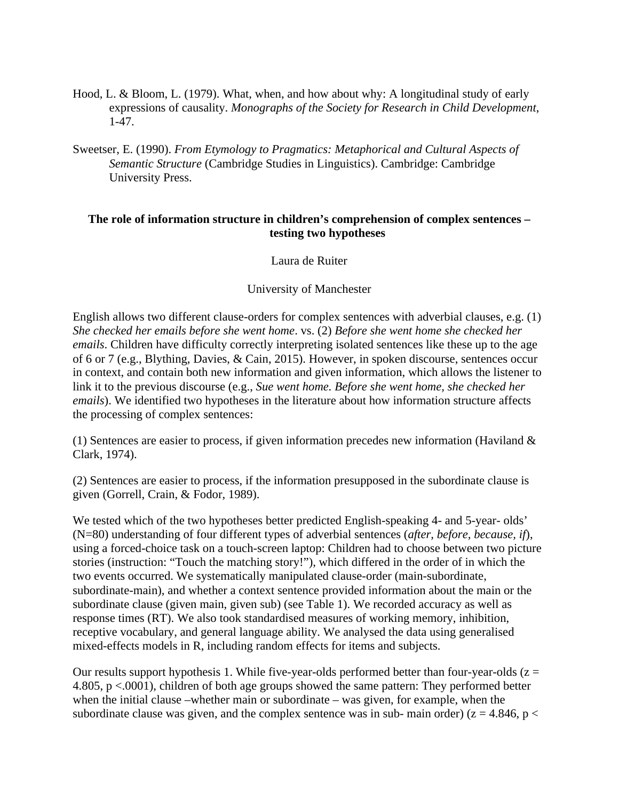- Hood, L. & Bloom, L. (1979). What, when, and how about why: A longitudinal study of early expressions of causality. *Monographs of the Society for Research in Child Development*, 1-47.
- Sweetser, E. (1990). *From Etymology to Pragmatics: Metaphorical and Cultural Aspects of Semantic Structure* (Cambridge Studies in Linguistics). Cambridge: Cambridge University Press.

## **The role of information structure in children's comprehension of complex sentences – testing two hypotheses**

Laura de Ruiter

## University of Manchester

English allows two different clause-orders for complex sentences with adverbial clauses, e.g. (1) *She checked her emails before she went home*. vs. (2) *Before she went home she checked her emails*. Children have difficulty correctly interpreting isolated sentences like these up to the age of 6 or 7 (e.g., Blything, Davies, & Cain, 2015). However, in spoken discourse, sentences occur in context, and contain both new information and given information, which allows the listener to link it to the previous discourse (e.g., *Sue went home. Before she went home, she checked her emails*). We identified two hypotheses in the literature about how information structure affects the processing of complex sentences:

(1) Sentences are easier to process, if given information precedes new information (Haviland  $\&$ Clark, 1974).

(2) Sentences are easier to process, if the information presupposed in the subordinate clause is given (Gorrell, Crain, & Fodor, 1989).

We tested which of the two hypotheses better predicted English-speaking 4- and 5-year- olds' (N=80) understanding of four different types of adverbial sentences (*after, before, because, if*), using a forced-choice task on a touch-screen laptop: Children had to choose between two picture stories (instruction: "Touch the matching story!"), which differed in the order of in which the two events occurred. We systematically manipulated clause-order (main-subordinate, subordinate-main), and whether a context sentence provided information about the main or the subordinate clause (given main, given sub) (see Table 1). We recorded accuracy as well as response times (RT). We also took standardised measures of working memory, inhibition, receptive vocabulary, and general language ability. We analysed the data using generalised mixed-effects models in R, including random effects for items and subjects.

Our results support hypothesis 1. While five-year-olds performed better than four-year-olds  $(z =$ 4.805, p <.0001), children of both age groups showed the same pattern: They performed better when the initial clause –whether main or subordinate – was given, for example, when the subordinate clause was given, and the complex sentence was in sub- main order) ( $z = 4.846$ ,  $p <$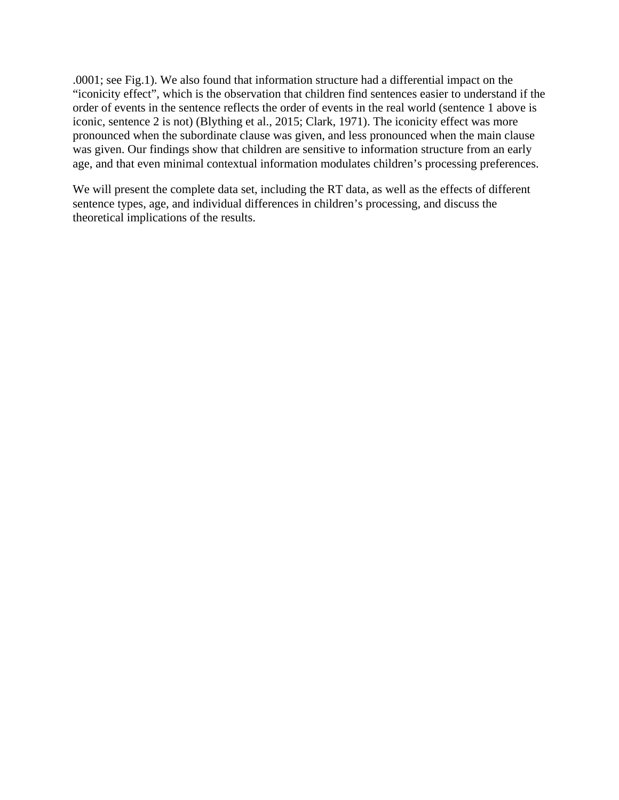.0001; see Fig.1). We also found that information structure had a differential impact on the "iconicity effect", which is the observation that children find sentences easier to understand if the order of events in the sentence reflects the order of events in the real world (sentence 1 above is iconic, sentence 2 is not) (Blything et al., 2015; Clark, 1971). The iconicity effect was more pronounced when the subordinate clause was given, and less pronounced when the main clause was given. Our findings show that children are sensitive to information structure from an early age, and that even minimal contextual information modulates children's processing preferences.

We will present the complete data set, including the RT data, as well as the effects of different sentence types, age, and individual differences in children's processing, and discuss the theoretical implications of the results.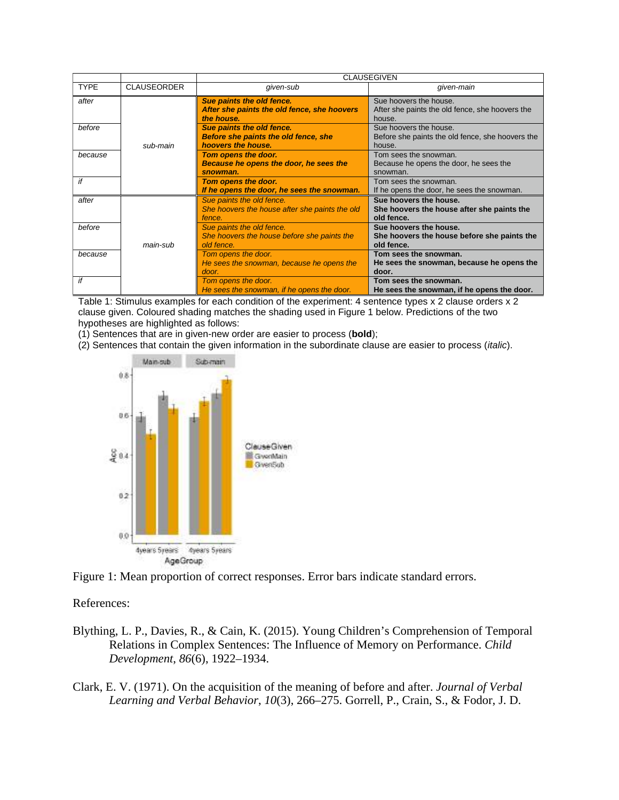|             |                    | <b>CLAUSEGIVEN</b>                                        |                                                  |  |  |  |  |
|-------------|--------------------|-----------------------------------------------------------|--------------------------------------------------|--|--|--|--|
| <b>TYPE</b> | <b>CLAUSEORDER</b> | given-sub                                                 | qiven-main                                       |  |  |  |  |
| after       |                    | Sue paints the old fence.                                 | Sue hoovers the house.                           |  |  |  |  |
|             |                    | After she paints the old fence, she hoovers<br>the house. | After she paints the old fence, she hoovers the  |  |  |  |  |
| before      |                    | Sue paints the old fence.                                 | house.<br>Sue hoovers the house.                 |  |  |  |  |
|             |                    |                                                           |                                                  |  |  |  |  |
|             |                    | <b>Before she paints the old fence, she</b>               | Before she paints the old fence, she hoovers the |  |  |  |  |
|             | sub-main           | hoovers the house.                                        | house.                                           |  |  |  |  |
| because     |                    | Tom opens the door.                                       | Tom sees the snowman.                            |  |  |  |  |
|             |                    | Because he opens the door, he sees the                    | Because he opens the door, he sees the           |  |  |  |  |
|             |                    | snowman.                                                  | snowman.                                         |  |  |  |  |
| if          |                    | Tom opens the door.                                       | Tom sees the snowman.                            |  |  |  |  |
|             |                    | If he opens the door, he sees the snowman.                | If he opens the door, he sees the snowman.       |  |  |  |  |
| after       |                    | Sue paints the old fence.                                 | Sue hoovers the house.                           |  |  |  |  |
|             |                    | She hoovers the house after she paints the old            | She hoovers the house after she paints the       |  |  |  |  |
|             |                    | fence.                                                    | old fence.                                       |  |  |  |  |
| before      |                    | Sue paints the old fence.                                 | Sue hoovers the house.                           |  |  |  |  |
|             |                    | She hoovers the house before she paints the               | She hoovers the house before she paints the      |  |  |  |  |
|             | main-sub           | old fence.                                                | old fence.                                       |  |  |  |  |
| because     |                    | Tom opens the door.                                       | Tom sees the snowman.                            |  |  |  |  |
|             |                    | He sees the snowman, because he opens the                 | He sees the snowman, because he opens the        |  |  |  |  |
|             |                    | door.                                                     | door.                                            |  |  |  |  |
| if          |                    | Tom opens the door.                                       | Tom sees the snowman.                            |  |  |  |  |
|             |                    | He sees the snowman, if he opens the door.                | He sees the snowman, if he opens the door.       |  |  |  |  |

Table 1: Stimulus examples for each condition of the experiment: 4 sentence types x 2 clause orders x 2 clause given. Coloured shading matches the shading used in Figure 1 below. Predictions of the two hypotheses are highlighted as follows:

(1) Sentences that are in given-new order are easier to process (**bold**);

(2) Sentences that contain the given information in the subordinate clause are easier to process (italic).





References: References:  $B$ lig. P.,  $B$ .,  $B$ .,  $B$ .,  $B$ .,  $B$ .,  $B$ .,  $B$ .,  $B$ .,  $C$ 

- Blything, L. P., Davies, R., & Cain, K. (2015). Young Children's Comprehension of Temporal Relations in Complex Sentences: The Influence of Memory on Performance. *Child*  $Development, 86(6), 1922-1934.$  $D$ evelopment,  $00(0)$ , 1722–1734.
- Clark, E. V. (1971). On the acquisition of the meaning of before and after. *Journal of Verbal Learning and Verbal Behavior*, *10*(3), 266–275. Gorrell, P., Crain, S., & Fodor, J. D.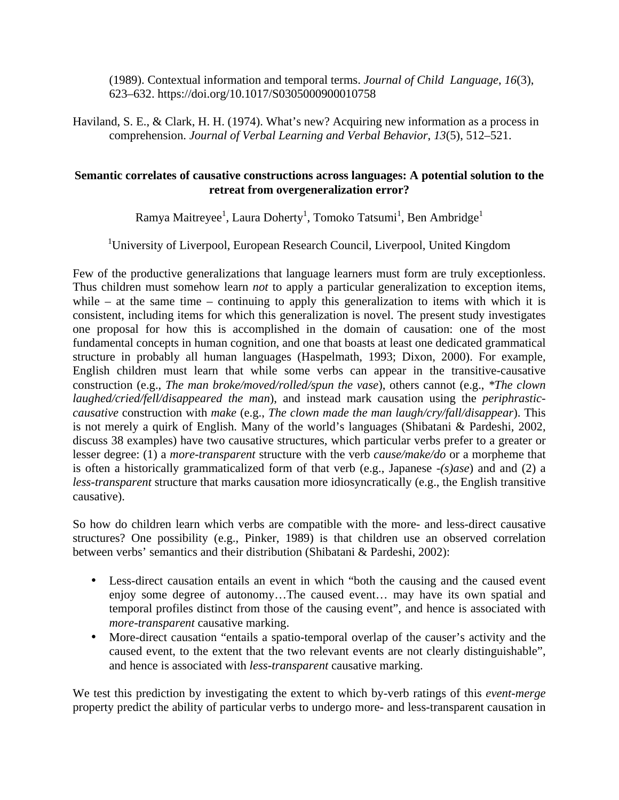(1989). Contextual information and temporal terms. *Journal of Child Language*, *16*(3), 623–632. https://doi.org/10.1017/S0305000900010758

Haviland, S. E., & Clark, H. H. (1974). What's new? Acquiring new information as a process in comprehension. *Journal of Verbal Learning and Verbal Behavior*, *13*(5), 512–521.

## **Semantic correlates of causative constructions across languages: A potential solution to the retreat from overgeneralization error?**

Ramya Maitreyee $^{\rm l}$ , Laura Doherty $^{\rm l}$ , Tomoko Tatsumi $^{\rm l}$ , Ben Ambridge $^{\rm l}$ 

<sup>1</sup>University of Liverpool, European Research Council, Liverpool, United Kingdom

Few of the productive generalizations that language learners must form are truly exceptionless. Thus children must somehow learn *not* to apply a particular generalization to exception items, while – at the same time – continuing to apply this generalization to items with which it is consistent, including items for which this generalization is novel. The present study investigates one proposal for how this is accomplished in the domain of causation: one of the most fundamental concepts in human cognition, and one that boasts at least one dedicated grammatical structure in probably all human languages (Haspelmath, 1993; Dixon, 2000). For example, English children must learn that while some verbs can appear in the transitive-causative construction (e.g., *The man broke/moved/rolled/spun the vase*), others cannot (e.g., *\*The clown laughed/cried/fell/disappeared the man*), and instead mark causation using the *periphrasticcausative* construction with *make* (e.g., *The clown made the man laugh/cry/fall/disappear*). This is not merely a quirk of English. Many of the world's languages (Shibatani & Pardeshi, 2002, discuss 38 examples) have two causative structures, which particular verbs prefer to a greater or lesser degree: (1) a *more-transparent* structure with the verb *cause/make/do* or a morpheme that is often a historically grammaticalized form of that verb (e.g., Japanese *-(s)ase*) and and (2) a *less-transparent* structure that marks causation more idiosyncratically (e.g., the English transitive causative).

So how do children learn which verbs are compatible with the more- and less-direct causative structures? One possibility (e.g., Pinker, 1989) is that children use an observed correlation between verbs' semantics and their distribution (Shibatani & Pardeshi, 2002):

- Less-direct causation entails an event in which "both the causing and the caused event enjoy some degree of autonomy…The caused event… may have its own spatial and temporal profiles distinct from those of the causing event", and hence is associated with *more-transparent* causative marking.
- More-direct causation "entails a spatio-temporal overlap of the causer's activity and the caused event, to the extent that the two relevant events are not clearly distinguishable", and hence is associated with *less-transparent* causative marking.

We test this prediction by investigating the extent to which by-verb ratings of this *event-merge* property predict the ability of particular verbs to undergo more- and less-transparent causation in